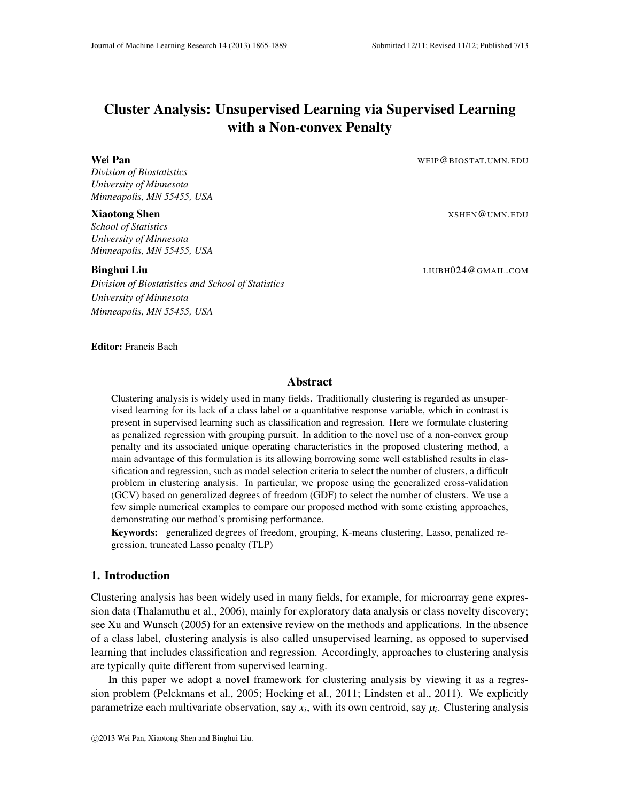# Cluster Analysis: Unsupervised Learning via Supervised Learning with a Non-convex Penalty

#### Wei Pan WEIP @BIOSTAT.UMN.EDU

*Division of Biostatistics University of Minnesota Minneapolis, MN 55455, USA*

*School of Statistics University of Minnesota Minneapolis, MN 55455, USA*

*Division of Biostatistics and School of Statistics University of Minnesota Minneapolis, MN 55455, USA*

**Xiaotong Shen** XSHEN@UMN.EDU

Binghui Liu LIUBH024@GMAIL.COM

### Editor: Francis Bach

# Abstract

Clustering analysis is widely used in many fields. Traditionally clustering is regarded as unsupervised learning for its lack of a class label or a quantitative response variable, which in contrast is present in supervised learning such as classification and regression. Here we formulate clustering as penalized regression with grouping pursuit. In addition to the novel use of a non-convex group penalty and its associated unique operating characteristics in the proposed clustering method, a main advantage of this formulation is its allowing borrowing some well established results in classification and regression, such as model selection criteria to select the number of clusters, a difficult problem in clustering analysis. In particular, we propose using the generalized cross-validation (GCV) based on generalized degrees of freedom (GDF) to select the number of clusters. We use a few simple numerical examples to compare our proposed method with some existing approaches, demonstrating our method's promising performance.

Keywords: generalized degrees of freedom, grouping, K-means clustering, Lasso, penalized regression, truncated Lasso penalty (TLP)

#### 1. Introduction

Clustering analysis has been widely used in many fields, for example, for microarray gene expression data (Thalamuthu et al., 2006), mainly for exploratory data analysis or class novelty discovery; see Xu and Wunsch (2005) for an extensive review on the methods and applications. In the absence of a class label, clustering analysis is also called unsupervised learning, as opposed to supervised learning that includes classification and regression. Accordingly, approaches to clustering analysis are typically quite different from supervised learning.

In this paper we adopt a novel framework for clustering analysis by viewing it as a regression problem (Pelckmans et al., 2005; Hocking et al., 2011; Lindsten et al., 2011). We explicitly parametrize each multivariate observation, say  $x_i$ , with its own centroid, say  $\mu_i$ . Clustering analysis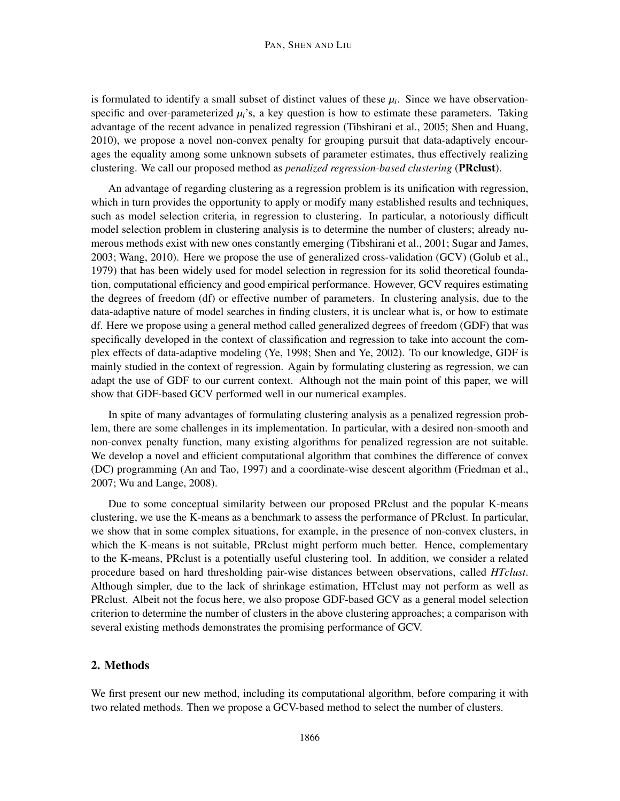#### PAN, SHEN AND LIU

is formulated to identify a small subset of distinct values of these  $\mu_i$ . Since we have observationspecific and over-parameterized  $\mu_i$ 's, a key question is how to estimate these parameters. Taking advantage of the recent advance in penalized regression (Tibshirani et al., 2005; Shen and Huang, 2010), we propose a novel non-convex penalty for grouping pursuit that data-adaptively encourages the equality among some unknown subsets of parameter estimates, thus effectively realizing clustering. We call our proposed method as *penalized regression-based clustering* (PRclust).

An advantage of regarding clustering as a regression problem is its unification with regression, which in turn provides the opportunity to apply or modify many established results and techniques, such as model selection criteria, in regression to clustering. In particular, a notoriously difficult model selection problem in clustering analysis is to determine the number of clusters; already numerous methods exist with new ones constantly emerging (Tibshirani et al., 2001; Sugar and James, 2003; Wang, 2010). Here we propose the use of generalized cross-validation (GCV) (Golub et al., 1979) that has been widely used for model selection in regression for its solid theoretical foundation, computational efficiency and good empirical performance. However, GCV requires estimating the degrees of freedom (df) or effective number of parameters. In clustering analysis, due to the data-adaptive nature of model searches in finding clusters, it is unclear what is, or how to estimate df. Here we propose using a general method called generalized degrees of freedom (GDF) that was specifically developed in the context of classification and regression to take into account the complex effects of data-adaptive modeling (Ye, 1998; Shen and Ye, 2002). To our knowledge, GDF is mainly studied in the context of regression. Again by formulating clustering as regression, we can adapt the use of GDF to our current context. Although not the main point of this paper, we will show that GDF-based GCV performed well in our numerical examples.

In spite of many advantages of formulating clustering analysis as a penalized regression problem, there are some challenges in its implementation. In particular, with a desired non-smooth and non-convex penalty function, many existing algorithms for penalized regression are not suitable. We develop a novel and efficient computational algorithm that combines the difference of convex (DC) programming (An and Tao, 1997) and a coordinate-wise descent algorithm (Friedman et al., 2007; Wu and Lange, 2008).

Due to some conceptual similarity between our proposed PRclust and the popular K-means clustering, we use the K-means as a benchmark to assess the performance of PRclust. In particular, we show that in some complex situations, for example, in the presence of non-convex clusters, in which the K-means is not suitable, PRclust might perform much better. Hence, complementary to the K-means, PRclust is a potentially useful clustering tool. In addition, we consider a related procedure based on hard thresholding pair-wise distances between observations, called *HTclust*. Although simpler, due to the lack of shrinkage estimation, HTclust may not perform as well as PRclust. Albeit not the focus here, we also propose GDF-based GCV as a general model selection criterion to determine the number of clusters in the above clustering approaches; a comparison with several existing methods demonstrates the promising performance of GCV.

# 2. Methods

We first present our new method, including its computational algorithm, before comparing it with two related methods. Then we propose a GCV-based method to select the number of clusters.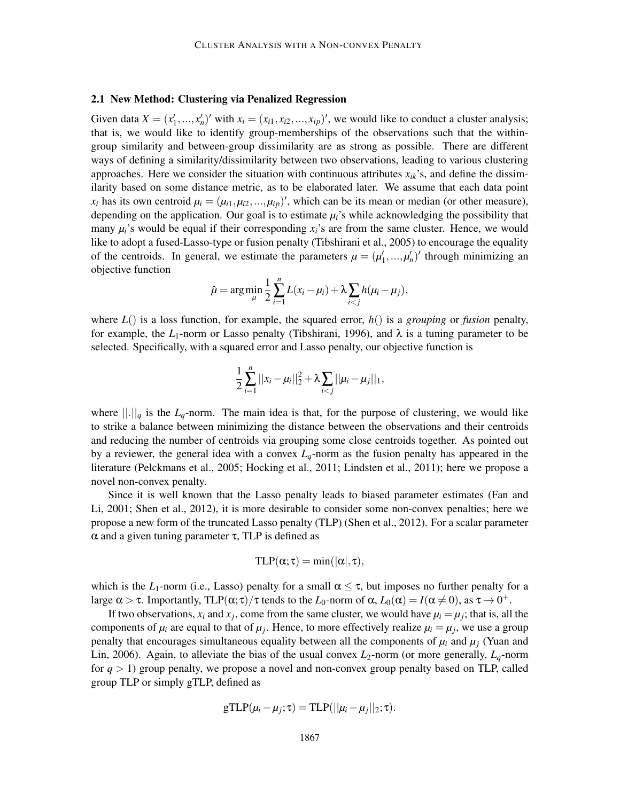#### 2.1 New Method: Clustering via Penalized Regression

Given data  $X = (x'_1, ..., x'_n)'$  with  $x_i = (x_{i1}, x_{i2}, ..., x_{ip})'$ , we would like to conduct a cluster analysis; that is, we would like to identify group-memberships of the observations such that the withingroup similarity and between-group dissimilarity are as strong as possible. There are different ways of defining a similarity/dissimilarity between two observations, leading to various clustering approaches. Here we consider the situation with continuous attributes  $x_{ik}$ 's, and define the dissimilarity based on some distance metric, as to be elaborated later. We assume that each data point  $x_i$  has its own centroid  $\mu_i = (\mu_{i1}, \mu_{i2}, ..., \mu_{ip})'$ , which can be its mean or median (or other measure), depending on the application. Our goal is to estimate  $\mu_i$ 's while acknowledging the possibility that many  $\mu_i$ 's would be equal if their corresponding  $x_i$ 's are from the same cluster. Hence, we would like to adopt a fused-Lasso-type or fusion penalty (Tibshirani et al., 2005) to encourage the equality of the centroids. In general, we estimate the parameters  $\mu = (\mu'_1, ..., \mu'_n)'$  through minimizing an objective function

$$
\hat{\mu} = \arg \min_{\mu} \frac{1}{2} \sum_{i=1}^{n} L(x_i - \mu_i) + \lambda \sum_{i < j} h(\mu_i - \mu_j),
$$

where  $L()$  is a loss function, for example, the squared error,  $h()$  is a *grouping* or *fusion* penalty, for example, the  $L_1$ -norm or Lasso penalty (Tibshirani, 1996), and  $\lambda$  is a tuning parameter to be selected. Specifically, with a squared error and Lasso penalty, our objective function is

$$
\frac{1}{2}\sum_{i=1}^n||x_i-\mu_i||_2^2+\lambda\sum_{i
$$

where  $\|\cdot\|_q$  is the  $L_q$ -norm. The main idea is that, for the purpose of clustering, we would like to strike a balance between minimizing the distance between the observations and their centroids and reducing the number of centroids via grouping some close centroids together. As pointed out by a reviewer, the general idea with a convex  $L_q$ -norm as the fusion penalty has appeared in the literature (Pelckmans et al., 2005; Hocking et al., 2011; Lindsten et al., 2011); here we propose a novel non-convex penalty.

Since it is well known that the Lasso penalty leads to biased parameter estimates (Fan and Li, 2001; Shen et al., 2012), it is more desirable to consider some non-convex penalties; here we propose a new form of the truncated Lasso penalty (TLP) (Shen et al., 2012). For a scalar parameter  $\alpha$  and a given tuning parameter  $\tau$ , TLP is defined as

$$
TLP(\alpha;\tau) = \min(|\alpha|,\tau),
$$

which is the  $L_1$ -norm (i.e., Lasso) penalty for a small  $\alpha \leq \tau$ , but imposes no further penalty for a large  $\alpha > \tau$ . Importantly, TLP( $\alpha; \tau$ )/ $\tau$  tends to the  $L_0$ -norm of  $\alpha$ ,  $L_0(\alpha) = I(\alpha \neq 0)$ , as  $\tau \to 0^+$ .

If two observations,  $x_i$  and  $x_j$ , come from the same cluster, we would have  $\mu_i = \mu_j$ ; that is, all the components of  $\mu_i$  are equal to that of  $\mu_j$ . Hence, to more effectively realize  $\mu_i = \mu_j$ , we use a group penalty that encourages simultaneous equality between all the components of  $\mu_i$  and  $\mu_j$  (Yuan and Lin, 2006). Again, to alleviate the bias of the usual convex  $L_2$ -norm (or more generally,  $L_q$ -norm for *q* > 1) group penalty, we propose a novel and non-convex group penalty based on TLP, called group TLP or simply gTLP, defined as

$$
\text{gTLP}(\mu_i - \mu_j; \tau) = \text{TLP}(||\mu_i - \mu_j||_2; \tau).
$$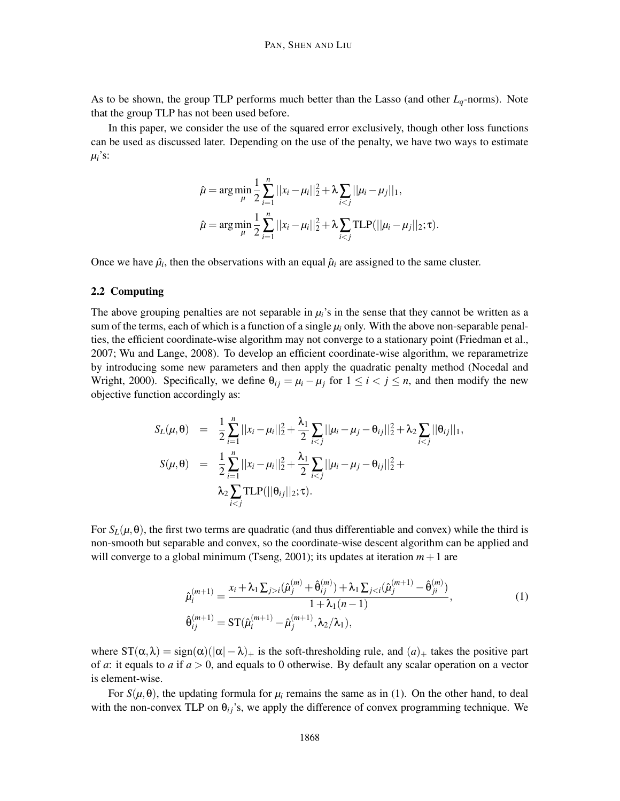As to be shown, the group TLP performs much better than the Lasso (and other *Lq*-norms). Note that the group TLP has not been used before.

In this paper, we consider the use of the squared error exclusively, though other loss functions can be used as discussed later. Depending on the use of the penalty, we have two ways to estimate  $\mu_i$ 's:

$$
\hat{\mu} = \arg \min_{\mu} \frac{1}{2} \sum_{i=1}^{n} ||x_i - \mu_i||_2^2 + \lambda \sum_{i < j} ||\mu_i - \mu_j||_1,
$$
\n
$$
\hat{\mu} = \arg \min_{\mu} \frac{1}{2} \sum_{i=1}^{n} ||x_i - \mu_i||_2^2 + \lambda \sum_{i < j} \text{TLP}(||\mu_i - \mu_j||_2; \tau).
$$

Once we have  $\hat{\mu}_i$ , then the observations with an equal  $\hat{\mu}_i$  are assigned to the same cluster.

# 2.2 Computing

The above grouping penalties are not separable in  $\mu_i$ 's in the sense that they cannot be written as a sum of the terms, each of which is a function of a single  $\mu_i$  only. With the above non-separable penalties, the efficient coordinate-wise algorithm may not converge to a stationary point (Friedman et al., 2007; Wu and Lange, 2008). To develop an efficient coordinate-wise algorithm, we reparametrize by introducing some new parameters and then apply the quadratic penalty method (Nocedal and Wright, 2000). Specifically, we define  $\theta_{ij} = \mu_i - \mu_j$  for  $1 \le i < j \le n$ , and then modify the new objective function accordingly as:

$$
S_L(\mu, \theta) = \frac{1}{2} \sum_{i=1}^n ||x_i - \mu_i||_2^2 + \frac{\lambda_1}{2} \sum_{i < j} ||\mu_i - \mu_j - \theta_{ij}||_2^2 + \lambda_2 \sum_{i < j} ||\theta_{ij}||_1,
$$
\n
$$
S(\mu, \theta) = \frac{1}{2} \sum_{i=1}^n ||x_i - \mu_i||_2^2 + \frac{\lambda_1}{2} \sum_{i < j} ||\mu_i - \mu_j - \theta_{ij}||_2^2 + \lambda_2 \sum_{i < j} \text{TLP}(||\theta_{ij}||_2; \tau).
$$

For  $S_L(\mu, \theta)$ , the first two terms are quadratic (and thus differentiable and convex) while the third is non-smooth but separable and convex, so the coordinate-wise descent algorithm can be applied and will converge to a global minimum (Tseng, 2001); its updates at iteration  $m+1$  are

$$
\hat{\mu}_{i}^{(m+1)} = \frac{x_{i} + \lambda_{1} \sum_{j>i} (\hat{\mu}_{j}^{(m)} + \hat{\theta}_{ij}^{(m)}) + \lambda_{1} \sum_{j\n
$$
\hat{\theta}_{ij}^{(m+1)} = \text{ST}(\hat{\mu}_{i}^{(m+1)} - \hat{\mu}_{j}^{(m+1)}, \lambda_{2}/\lambda_{1}),
$$
\n(1)
$$

where  $ST(\alpha, \lambda) = sign(\alpha)(|\alpha| - \lambda)_+$  is the soft-thresholding rule, and  $(a)_+$  takes the positive part of *a*: it equals to *a* if *a* > 0, and equals to 0 otherwise. By default any scalar operation on a vector is element-wise.

For  $S(\mu, \theta)$ , the updating formula for  $\mu_i$  remains the same as in (1). On the other hand, to deal with the non-convex TLP on  $\theta_{ij}$ 's, we apply the difference of convex programming technique. We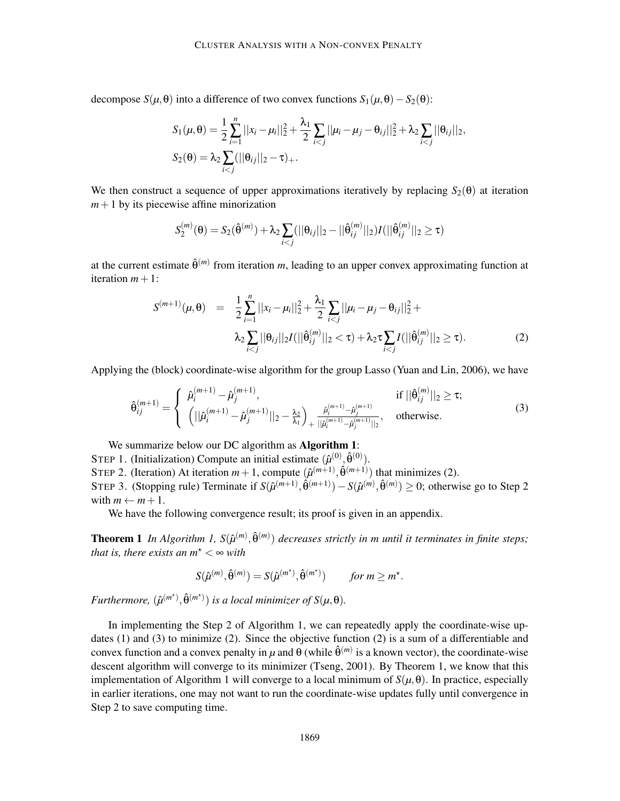decompose  $S(\mu, \theta)$  into a difference of two convex functions  $S_1(\mu, \theta) - S_2(\theta)$ :

$$
S_1(\mu, \theta) = \frac{1}{2} \sum_{i=1}^n ||x_i - \mu_i||_2^2 + \frac{\lambda_1}{2} \sum_{i < j} ||\mu_i - \mu_j - \theta_{ij}||_2^2 + \lambda_2 \sum_{i < j} ||\theta_{ij}||_2,
$$
\n
$$
S_2(\theta) = \lambda_2 \sum_{i < j} (||\theta_{ij}||_2 - \tau)_+.
$$

We then construct a sequence of upper approximations iteratively by replacing  $S_2(\theta)$  at iteration  $m+1$  by its piecewise affine minorization

$$
S_2^{(m)}(\theta) = S_2(\hat{\theta}^{(m)}) + \lambda_2 \sum_{i < j} (||\theta_{ij}||_2 - ||\hat{\theta}_{ij}^{(m)}||_2) I(||\hat{\theta}_{ij}^{(m)}||_2 \ge \tau)
$$

at the current estimate  $\hat{\theta}^{(m)}$  from iteration *m*, leading to an upper convex approximating function at iteration  $m+1$ :

$$
S^{(m+1)}(\mu,\theta) = \frac{1}{2} \sum_{i=1}^{n} ||x_i - \mu_i||_2^2 + \frac{\lambda_1}{2} \sum_{i < j} ||\mu_i - \mu_j - \theta_{ij}||_2^2 + \lambda_2 \sum_{i < j} ||\theta_{ij}||_2 I(||\hat{\theta}_{ij}^{(m)}||_2 < \tau) + \lambda_2 \tau \sum_{i < j} I(||\hat{\theta}_{ij}^{(m)}||_2 \ge \tau). \tag{2}
$$

Applying the (block) coordinate-wise algorithm for the group Lasso (Yuan and Lin, 2006), we have

$$
\hat{\theta}_{ij}^{(m+1)} = \begin{cases}\n\hat{\mu}_i^{(m+1)} - \hat{\mu}_j^{(m+1)}, & \text{if } ||\hat{\theta}_{ij}^{(m)}||_2 \ge \tau; \\
\left( ||\hat{\mu}_i^{(m+1)} - \hat{\mu}_j^{(m+1)}||_2 - \frac{\lambda_2}{\lambda_1} \right)_{+} \frac{\hat{\mu}_i^{(m+1)} - \hat{\mu}_j^{(m+1)}}{||\hat{\mu}_i^{(m+1)} - \hat{\mu}_j^{(m+1)}||_2}, & \text{otherwise.} \n\end{cases}
$$
\n(3)

We summarize below our DC algorithm as **Algorithm 1**:

STEP 1. (Initialization) Compute an initial estimate  $(\hat{\mu}^{(0)}, \hat{\theta}^{(0)})$ . STEP 2. (Iteration) At iteration  $m+1$ , compute  $(\hat{\mu}^{(m+1)}, \hat{\theta}^{(m+1)})$  that minimizes (2). STEP 3. (Stopping rule) Terminate if  $S(\hat{\mu}^{(m+1)}, \hat{\theta}^{(m+1)}) - S(\hat{\mu}^{(m)}, \hat{\theta}^{(m)}) \ge 0$ ; otherwise go to Step 2 with  $m \leftarrow m + 1$ .

We have the following convergence result; its proof is given in an appendix.

**Theorem 1** In Algorithm 1,  $S(\hat{\mu}^{(m)}, \hat{\theta}^{(m)})$  decreases strictly in m until it terminates in finite steps; *that is, there exists an*  $m^* < \infty$  *with* 

$$
S(\hat{\mu}^{(m)}, \hat{\theta}^{(m)}) = S(\hat{\mu}^{(m^*)}, \hat{\theta}^{(m^*)}) \quad \text{for } m \ge m^*.
$$

 $Furthermore, \ (\hat{\mu}^{(m^{\star})}, \hat{\theta}^{(m^{\star})})$  *is a local minimizer of*  $S(\mu, \theta)$ *.* 

In implementing the Step 2 of Algorithm 1, we can repeatedly apply the coordinate-wise updates (1) and (3) to minimize (2). Since the objective function (2) is a sum of a differentiable and convex function and a convex penalty in  $\mu$  and  $\theta$  (while  $\hat{\theta}^{(m)}$  is a known vector), the coordinate-wise descent algorithm will converge to its minimizer (Tseng, 2001). By Theorem 1, we know that this implementation of Algorithm 1 will converge to a local minimum of *S*(*µ*,θ). In practice, especially in earlier iterations, one may not want to run the coordinate-wise updates fully until convergence in Step 2 to save computing time.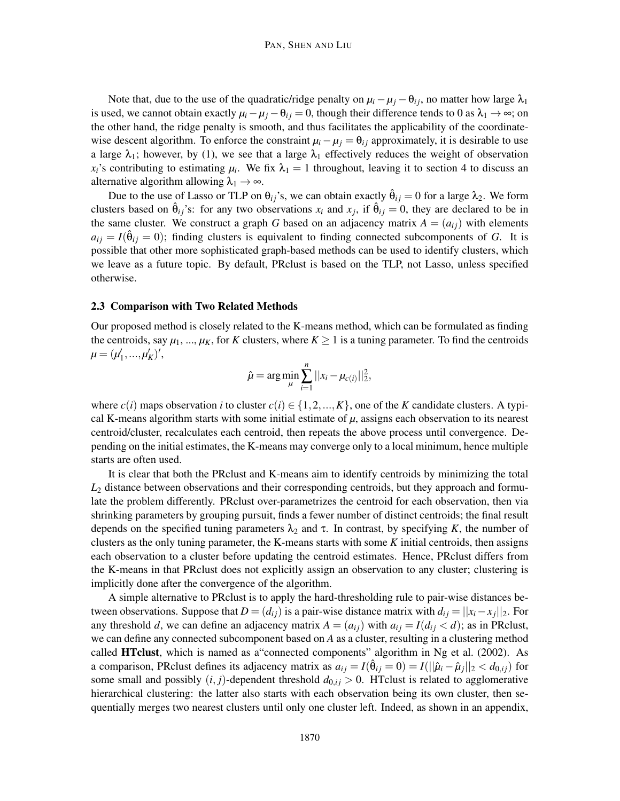Note that, due to the use of the quadratic/ridge penalty on  $\mu_i - \mu_j - \theta_{ij}$ , no matter how large  $\lambda_1$ is used, we cannot obtain exactly  $\mu_i - \mu_j - \theta_{ij} = 0$ , though their difference tends to 0 as  $\lambda_1 \to \infty$ ; on the other hand, the ridge penalty is smooth, and thus facilitates the applicability of the coordinatewise descent algorithm. To enforce the constraint  $\mu_i - \mu_j = \theta_{ij}$  approximately, it is desirable to use a large  $\lambda_1$ ; however, by (1), we see that a large  $\lambda_1$  effectively reduces the weight of observation  $x_i$ 's contributing to estimating  $\mu_i$ . We fix  $\lambda_1 = 1$  throughout, leaving it to section 4 to discuss an alternative algorithm allowing  $\lambda_1 \rightarrow \infty$ .

Due to the use of Lasso or TLP on  $\theta_{ij}$ 's, we can obtain exactly  $\hat{\theta}_{ij} = 0$  for a large  $\lambda_2$ . We form clusters based on  $\hat{\theta}_{ij}$ 's: for any two observations  $x_i$  and  $x_j$ , if  $\hat{\theta}_{ij} = 0$ , they are declared to be in the same cluster. We construct a graph *G* based on an adjacency matrix  $A = (a_{ij})$  with elements  $a_{ij} = I(\hat{\theta}_{ij} = 0)$ ; finding clusters is equivalent to finding connected subcomponents of *G*. It is possible that other more sophisticated graph-based methods can be used to identify clusters, which we leave as a future topic. By default, PRclust is based on the TLP, not Lasso, unless specified otherwise.

#### 2.3 Comparison with Two Related Methods

Our proposed method is closely related to the K-means method, which can be formulated as finding the centroids, say  $\mu_1, ..., \mu_K$ , for *K* clusters, where  $K \geq 1$  is a tuning parameter. To find the centroids  $\mu = (\mu'_1, ..., \mu'_K)'$ 

$$
\hat{\mu} = \arg \min_{\mu} \sum_{i=1}^{n} ||x_i - \mu_{c(i)}||_2^2,
$$

where  $c(i)$  maps observation *i* to cluster  $c(i) \in \{1, 2, ..., K\}$ , one of the *K* candidate clusters. A typical K-means algorithm starts with some initial estimate of *µ*, assigns each observation to its nearest centroid/cluster, recalculates each centroid, then repeats the above process until convergence. Depending on the initial estimates, the K-means may converge only to a local minimum, hence multiple starts are often used.

It is clear that both the PRclust and K-means aim to identify centroids by minimizing the total *L*<sup>2</sup> distance between observations and their corresponding centroids, but they approach and formulate the problem differently. PRclust over-parametrizes the centroid for each observation, then via shrinking parameters by grouping pursuit, finds a fewer number of distinct centroids; the final result depends on the specified tuning parameters  $\lambda_2$  and  $\tau$ . In contrast, by specifying *K*, the number of clusters as the only tuning parameter, the K-means starts with some *K* initial centroids, then assigns each observation to a cluster before updating the centroid estimates. Hence, PRclust differs from the K-means in that PRclust does not explicitly assign an observation to any cluster; clustering is implicitly done after the convergence of the algorithm.

A simple alternative to PRclust is to apply the hard-thresholding rule to pair-wise distances between observations. Suppose that  $D = (d_{ij})$  is a pair-wise distance matrix with  $d_{ij} = ||x_i - x_j||_2$ . For any threshold *d*, we can define an adjacency matrix  $A = (a_{ij})$  with  $a_{ij} = I(d_{ij} < d)$ ; as in PRclust, we can define any connected subcomponent based on *A* as a cluster, resulting in a clustering method called HTclust, which is named as a"connected components" algorithm in Ng et al. (2002). As a comparison, PRclust defines its adjacency matrix as  $a_{ij} = I(\hat{\theta}_{ij} = 0) = I(||\hat{\mu}_i - \hat{\mu}_j||_2 < d_{0,ij})$  for some small and possibly  $(i, j)$ -dependent threshold  $d_{0, i} > 0$ . HTclust is related to agglomerative hierarchical clustering: the latter also starts with each observation being its own cluster, then sequentially merges two nearest clusters until only one cluster left. Indeed, as shown in an appendix,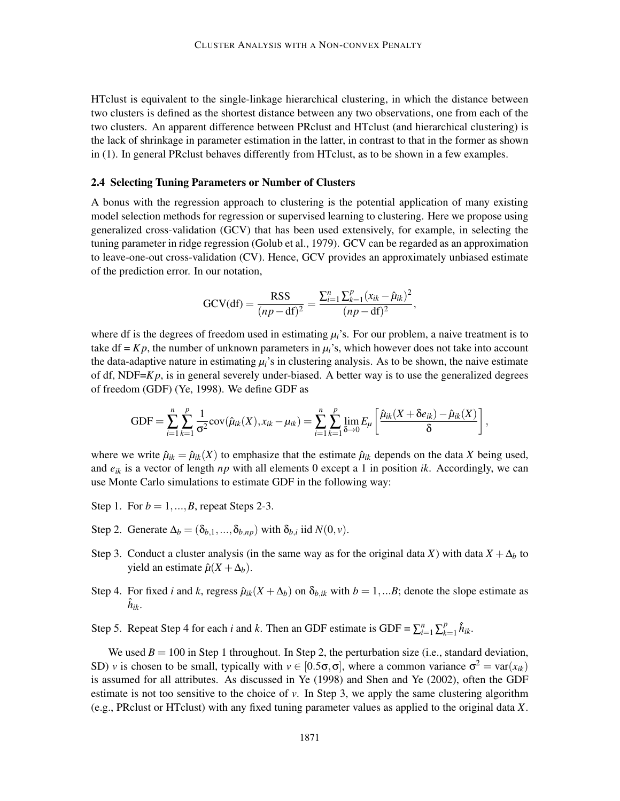HTclust is equivalent to the single-linkage hierarchical clustering, in which the distance between two clusters is defined as the shortest distance between any two observations, one from each of the two clusters. An apparent difference between PRclust and HTclust (and hierarchical clustering) is the lack of shrinkage in parameter estimation in the latter, in contrast to that in the former as shown in (1). In general PRclust behaves differently from HTclust, as to be shown in a few examples.

# 2.4 Selecting Tuning Parameters or Number of Clusters

A bonus with the regression approach to clustering is the potential application of many existing model selection methods for regression or supervised learning to clustering. Here we propose using generalized cross-validation (GCV) that has been used extensively, for example, in selecting the tuning parameter in ridge regression (Golub et al., 1979). GCV can be regarded as an approximation to leave-one-out cross-validation (CV). Hence, GCV provides an approximately unbiased estimate of the prediction error. In our notation,

$$
GCV(df) = \frac{RSS}{(np - df)^2} = \frac{\sum_{i=1}^{n} \sum_{k=1}^{p} (x_{ik} - \hat{\mu}_{ik})^2}{(np - df)^2},
$$

where df is the degrees of freedom used in estimating  $\mu_i$ 's. For our problem, a naive treatment is to take  $df = Kp$ , the number of unknown parameters in  $\mu_i$ 's, which however does not take into account the data-adaptive nature in estimating  $\mu_i$ 's in clustering analysis. As to be shown, the naive estimate of df, NDF $=Kp$ , is in general severely under-biased. A better way is to use the generalized degrees of freedom (GDF) (Ye, 1998). We define GDF as

$$
GDF = \sum_{i=1}^{n} \sum_{k=1}^{p} \frac{1}{\sigma^2} cov(\hat{\mu}_{ik}(X), x_{ik} - \mu_{ik}) = \sum_{i=1}^{n} \sum_{k=1}^{p} \lim_{\delta \to 0} E_{\mu} \left[ \frac{\hat{\mu}_{ik}(X + \delta e_{ik}) - \hat{\mu}_{ik}(X)}{\delta} \right],
$$

where we write  $\hat{\mu}_{ik} = \hat{\mu}_{ik}(X)$  to emphasize that the estimate  $\hat{\mu}_{ik}$  depends on the data X being used, and *eik* is a vector of length *np* with all elements 0 except a 1 in position *ik*. Accordingly, we can use Monte Carlo simulations to estimate GDF in the following way:

- Step 1. For  $b = 1, ..., B$ , repeat Steps 2-3.
- Step 2. Generate  $\Delta_b = (\delta_{b,1}, ..., \delta_{b,np})$  with  $\delta_{b,i}$  iid  $N(0, v)$ .
- Step 3. Conduct a cluster analysis (in the same way as for the original data *X*) with data  $X + \Delta_b$  to yield an estimate  $\hat{\mu}(X + \Delta_b)$ .
- Step 4. For fixed *i* and *k*, regress  $\hat{\mu}_{ik}(X + \Delta_h)$  on  $\delta_{h,ik}$  with  $b = 1,...B$ ; denote the slope estimate as  $\hat{h}_{ik}.$
- Step 5. Repeat Step 4 for each *i* and *k*. Then an GDF estimate is  $GDF = \sum_{i=1}^{n} \sum_{k=1}^{p}$  $_{k=1}^p \hat{h}_{ik}.$

We used  $B = 100$  in Step 1 throughout. In Step 2, the perturbation size (i.e., standard deviation, SD) *v* is chosen to be small, typically with  $v \in [0.5\sigma, \sigma]$ , where a common variance  $\sigma^2 = \text{var}(x_{ik})$ is assumed for all attributes. As discussed in Ye (1998) and Shen and Ye (2002), often the GDF estimate is not too sensitive to the choice of  $\nu$ . In Step 3, we apply the same clustering algorithm (e.g., PRclust or HTclust) with any fixed tuning parameter values as applied to the original data *X*.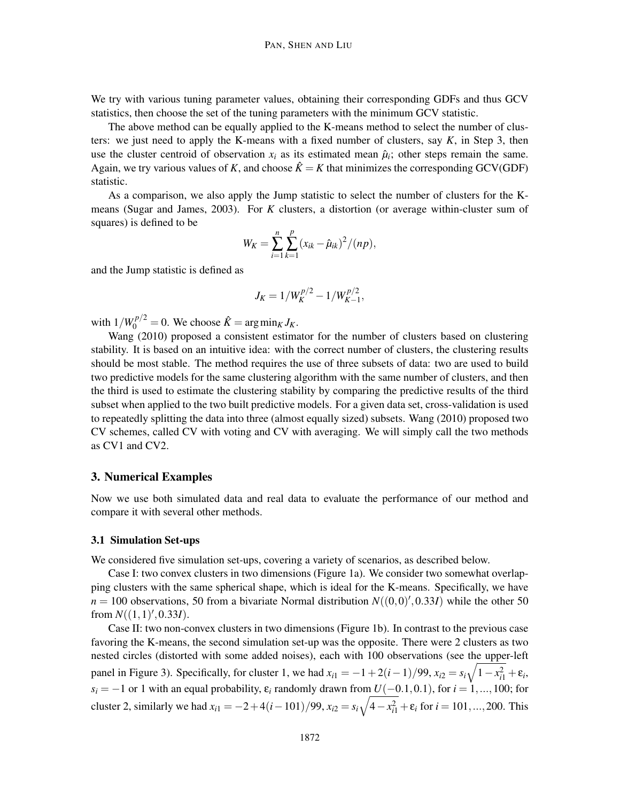We try with various tuning parameter values, obtaining their corresponding GDFs and thus GCV statistics, then choose the set of the tuning parameters with the minimum GCV statistic.

The above method can be equally applied to the K-means method to select the number of clusters: we just need to apply the K-means with a fixed number of clusters, say *K*, in Step 3, then use the cluster centroid of observation  $x_i$  as its estimated mean  $\hat{\mu}_i$ ; other steps remain the same. Again, we try various values of K, and choose  $\hat{K} = K$  that minimizes the corresponding GCV(GDF) statistic.

As a comparison, we also apply the Jump statistic to select the number of clusters for the Kmeans (Sugar and James, 2003). For *K* clusters, a distortion (or average within-cluster sum of squares) is defined to be

$$
W_K = \sum_{i=1}^n \sum_{k=1}^p (x_{ik} - \hat{\mu}_{ik})^2 / (np),
$$

and the Jump statistic is defined as

$$
J_K = 1/W_K^{p/2} - 1/W_{K-1}^{p/2},
$$

with  $1/W_0^{p/2} = 0$ . We choose  $\hat{K} = \arg \min_K J_K$ .

Wang (2010) proposed a consistent estimator for the number of clusters based on clustering stability. It is based on an intuitive idea: with the correct number of clusters, the clustering results should be most stable. The method requires the use of three subsets of data: two are used to build two predictive models for the same clustering algorithm with the same number of clusters, and then the third is used to estimate the clustering stability by comparing the predictive results of the third subset when applied to the two built predictive models. For a given data set, cross-validation is used to repeatedly splitting the data into three (almost equally sized) subsets. Wang (2010) proposed two CV schemes, called CV with voting and CV with averaging. We will simply call the two methods as CV1 and CV2.

# 3. Numerical Examples

Now we use both simulated data and real data to evaluate the performance of our method and compare it with several other methods.

#### 3.1 Simulation Set-ups

We considered five simulation set-ups, covering a variety of scenarios, as described below.

Case I: two convex clusters in two dimensions (Figure 1a). We consider two somewhat overlapping clusters with the same spherical shape, which is ideal for the K-means. Specifically, we have  $n = 100$  observations, 50 from a bivariate Normal distribution  $N((0,0)',0.33I)$  while the other 50 from  $N((1,1)^\prime, 0.33I)$ .

Case II: two non-convex clusters in two dimensions (Figure 1b). In contrast to the previous case favoring the K-means, the second simulation set-up was the opposite. There were 2 clusters as two nested circles (distorted with some added noises), each with 100 observations (see the upper-left panel in Figure 3). Specifically, for cluster 1, we had  $x_{i1} = -1 + 2(i-1)/99$ ,  $x_{i2} = s_i\sqrt{1 - x_{i1}^2} + \varepsilon_i$ ,  $s_i = -1$  or 1 with an equal probability,  $\varepsilon_i$  randomly drawn from  $U(-0.1,0.1)$ , for  $i = 1, ..., 100$ ; for cluster 2, similarly we had  $x_{i1} = -2 + 4(i - 101)/99$ ,  $x_{i2} = s_i\sqrt{4 - x_{i1}^2} + \varepsilon_i$  for  $i = 101, ..., 200$ . This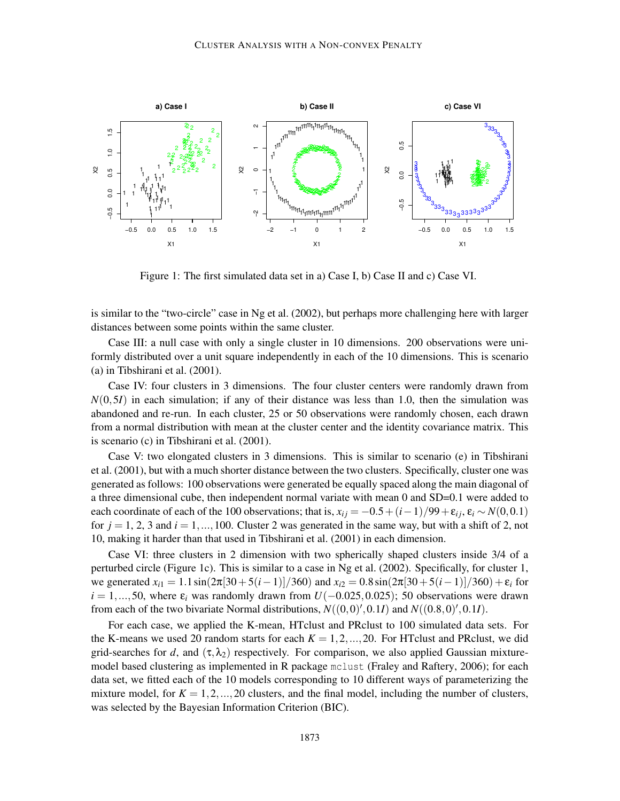

Figure 1: The first simulated data set in a) Case I, b) Case II and c) Case VI.

is similar to the "two-circle" case in Ng et al. (2002), but perhaps more challenging here with larger distances between some points within the same cluster.

Case III: a null case with only a single cluster in 10 dimensions. 200 observations were uniformly distributed over a unit square independently in each of the 10 dimensions. This is scenario (a) in Tibshirani et al. (2001).

Case IV: four clusters in 3 dimensions. The four cluster centers were randomly drawn from  $N(0,5I)$  in each simulation; if any of their distance was less than 1.0, then the simulation was abandoned and re-run. In each cluster, 25 or 50 observations were randomly chosen, each drawn from a normal distribution with mean at the cluster center and the identity covariance matrix. This is scenario (c) in Tibshirani et al. (2001).

Case V: two elongated clusters in 3 dimensions. This is similar to scenario (e) in Tibshirani et al. (2001), but with a much shorter distance between the two clusters. Specifically, cluster one was generated as follows: 100 observations were generated be equally spaced along the main diagonal of a three dimensional cube, then independent normal variate with mean 0 and SD=0.1 were added to each coordinate of each of the 100 observations; that is,  $x_{ij} = -0.5 + (i-1)/99 + \varepsilon_{ij}$ ,  $\varepsilon_i \sim N(0,0.1)$ for  $j = 1, 2, 3$  and  $i = 1, \ldots, 100$ . Cluster 2 was generated in the same way, but with a shift of 2, not 10, making it harder than that used in Tibshirani et al. (2001) in each dimension.

Case VI: three clusters in 2 dimension with two spherically shaped clusters inside 3/4 of a perturbed circle (Figure 1c). This is similar to a case in Ng et al. (2002). Specifically, for cluster 1, we generated  $x_{i1} = 1.1 \sin(2\pi[30+5(i-1)]/360)$  and  $x_{i2} = 0.8 \sin(2\pi[30+5(i-1)]/360) + \varepsilon_i$  for  $i = 1, \ldots, 50$ , where  $\varepsilon_i$  was randomly drawn from  $U(-0.025, 0.025)$ ; 50 observations were drawn from each of the two bivariate Normal distributions,  $N((0,0)',0.1I)$  and  $N((0.8,0)',0.1I)$ .

For each case, we applied the K-mean, HTclust and PRclust to 100 simulated data sets. For the K-means we used 20 random starts for each  $K = 1, 2, ..., 20$ . For HTclust and PRclust, we did grid-searches for *d*, and  $(\tau, \lambda_2)$  respectively. For comparison, we also applied Gaussian mixturemodel based clustering as implemented in R package mclust (Fraley and Raftery, 2006); for each data set, we fitted each of the 10 models corresponding to 10 different ways of parameterizing the mixture model, for  $K = 1, 2, ..., 20$  clusters, and the final model, including the number of clusters, was selected by the Bayesian Information Criterion (BIC).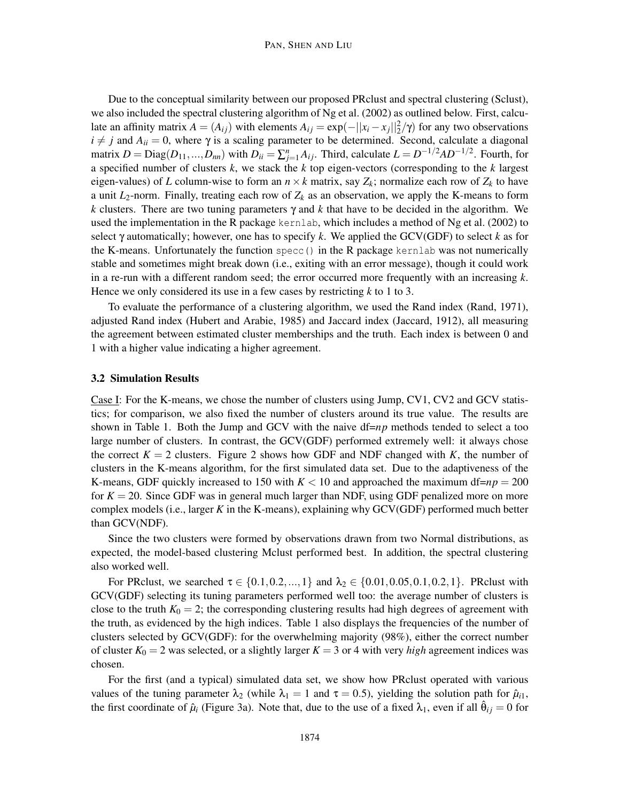Due to the conceptual similarity between our proposed PRclust and spectral clustering (Sclust), we also included the spectral clustering algorithm of Ng et al. (2002) as outlined below. First, calculate an affinity matrix  $A = (A_{ij})$  with elements  $A_{ij} = \exp(-||x_i - x_j||_2^2/\gamma)$  for any two observations  $i \neq j$  and  $A_{ii} = 0$ , where  $\gamma$  is a scaling parameter to be determined. Second, calculate a diagonal matrix  $D = \text{Diag}(D_{11},...,D_{nn})$  with  $D_{ii} = \sum_{j=1}^{n} A_{ij}$ . Third, calculate  $L = D^{-1/2}AD^{-1/2}$ . Fourth, for a specified number of clusters *k*, we stack the *k* top eigen-vectors (corresponding to the *k* largest eigen-values) of *L* column-wise to form an  $n \times k$  matrix, say  $Z_k$ ; normalize each row of  $Z_k$  to have a unit  $L_2$ -norm. Finally, treating each row of  $Z_k$  as an observation, we apply the K-means to form *k* clusters. There are two tuning parameters  $\gamma$  and *k* that have to be decided in the algorithm. We used the implementation in the R package kernlab, which includes a method of Ng et al. (2002) to select γ automatically; however, one has to specify *k*. We applied the GCV(GDF) to select *k* as for the K-means. Unfortunately the function specc() in the R package kernlab was not numerically stable and sometimes might break down (i.e., exiting with an error message), though it could work in a re-run with a different random seed; the error occurred more frequently with an increasing *k*. Hence we only considered its use in a few cases by restricting *k* to 1 to 3.

To evaluate the performance of a clustering algorithm, we used the Rand index (Rand, 1971), adjusted Rand index (Hubert and Arabie, 1985) and Jaccard index (Jaccard, 1912), all measuring the agreement between estimated cluster memberships and the truth. Each index is between 0 and 1 with a higher value indicating a higher agreement.

#### 3.2 Simulation Results

Case I: For the K-means, we chose the number of clusters using Jump, CV1, CV2 and GCV statistics; for comparison, we also fixed the number of clusters around its true value. The results are shown in Table 1. Both the Jump and GCV with the naive  $df = np$  methods tended to select a too large number of clusters. In contrast, the GCV(GDF) performed extremely well: it always chose the correct  $K = 2$  clusters. Figure 2 shows how GDF and NDF changed with K, the number of clusters in the K-means algorithm, for the first simulated data set. Due to the adaptiveness of the K-means, GDF quickly increased to 150 with  $K < 10$  and approached the maximum df= $np = 200$ for  $K = 20$ . Since GDF was in general much larger than NDF, using GDF penalized more on more complex models (i.e., larger *K* in the K-means), explaining why GCV(GDF) performed much better than GCV(NDF).

Since the two clusters were formed by observations drawn from two Normal distributions, as expected, the model-based clustering Mclust performed best. In addition, the spectral clustering also worked well.

For PRclust, we searched  $\tau \in \{0.1, 0.2, ..., 1\}$  and  $\lambda_2 \in \{0.01, 0.05, 0.1, 0.2, 1\}$ . PRclust with GCV(GDF) selecting its tuning parameters performed well too: the average number of clusters is close to the truth  $K_0 = 2$ ; the corresponding clustering results had high degrees of agreement with the truth, as evidenced by the high indices. Table 1 also displays the frequencies of the number of clusters selected by GCV(GDF): for the overwhelming majority (98%), either the correct number of cluster  $K_0 = 2$  was selected, or a slightly larger  $K = 3$  or 4 with very *high* agreement indices was chosen.

For the first (and a typical) simulated data set, we show how PRclust operated with various values of the tuning parameter  $\lambda_2$  (while  $\lambda_1 = 1$  and  $\tau = 0.5$ ), yielding the solution path for  $\hat{\mu}_{i1}$ , the first coordinate of  $\hat{\mu}_i$  (Figure 3a). Note that, due to the use of a fixed  $\lambda_1$ , even if all  $\hat{\theta}_{ij} = 0$  for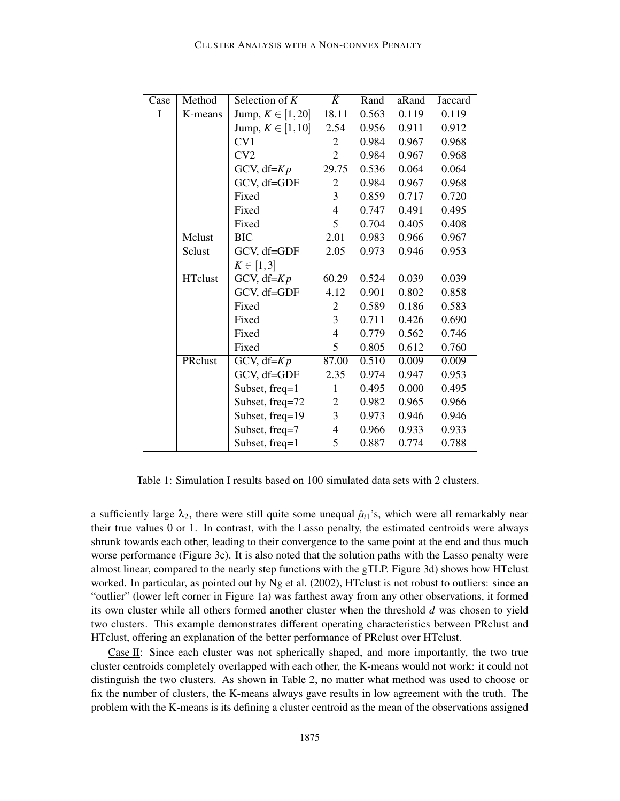| Case | Method         | Selection of $K$            | $\hat{K}$         | Rand  | aRand | Jaccard |
|------|----------------|-----------------------------|-------------------|-------|-------|---------|
| I    | K-means        | Jump, $K \in [1, 20]$       | 18.11             | 0.563 | 0.119 | 0.119   |
|      |                | Jump, $K \in [1, 10]$       | 2.54              | 0.956 | 0.911 | 0.912   |
|      |                | CV1                         | $\overline{2}$    | 0.984 | 0.967 | 0.968   |
|      |                | CV2                         | $\overline{2}$    | 0.984 | 0.967 | 0.968   |
|      |                | GCV, $df=Kp$                | 29.75             | 0.536 | 0.064 | 0.064   |
|      |                | GCV, df=GDF                 | $\overline{c}$    | 0.984 | 0.967 | 0.968   |
|      |                | Fixed                       | 3                 | 0.859 | 0.717 | 0.720   |
|      |                | Fixed                       | $\overline{4}$    | 0.747 | 0.491 | 0.495   |
|      |                | Fixed                       | 5                 | 0.704 | 0.405 | 0.408   |
|      | Mclust         | $\overline{BIC}$            | $\overline{2.01}$ | 0.983 | 0.966 | 0.967   |
|      | Sclust         | GCV, df=GDF                 | 2.05              | 0.973 | 0.946 | 0.953   |
|      |                | $K \in [1,3]$               |                   |       |       |         |
|      | <b>HTclust</b> | GCV, df= $Kp$               | 60.29             | 0.524 | 0.039 | 0.039   |
|      |                | GCV, df=GDF                 | 4.12              | 0.901 | 0.802 | 0.858   |
|      |                | Fixed                       | $\overline{c}$    | 0.589 | 0.186 | 0.583   |
|      |                | Fixed                       | 3                 | 0.711 | 0.426 | 0.690   |
|      |                | Fixed                       | $\overline{4}$    | 0.779 | 0.562 | 0.746   |
|      |                | Fixed                       | 5                 | 0.805 | 0.612 | 0.760   |
|      | PRclust        | $\overline{GCV}$ , df= $Kp$ | 87.00             | 0.510 | 0.009 | 0.009   |
|      |                | GCV, df=GDF                 | 2.35              | 0.974 | 0.947 | 0.953   |
|      |                | Subset, freq=1              | 1                 | 0.495 | 0.000 | 0.495   |
|      |                | Subset, freq=72             | $\overline{c}$    | 0.982 | 0.965 | 0.966   |
|      |                | Subset, freq=19             | 3                 | 0.973 | 0.946 | 0.946   |
|      |                | Subset, freq=7              | $\overline{4}$    | 0.966 | 0.933 | 0.933   |
|      |                | Subset, freq=1              | 5                 | 0.887 | 0.774 | 0.788   |

Table 1: Simulation I results based on 100 simulated data sets with 2 clusters.

a sufficiently large  $\lambda_2$ , there were still quite some unequal  $\hat{\mu}_{i1}$ 's, which were all remarkably near their true values 0 or 1. In contrast, with the Lasso penalty, the estimated centroids were always shrunk towards each other, leading to their convergence to the same point at the end and thus much worse performance (Figure 3c). It is also noted that the solution paths with the Lasso penalty were almost linear, compared to the nearly step functions with the gTLP. Figure 3d) shows how HTclust worked. In particular, as pointed out by Ng et al. (2002), HTclust is not robust to outliers: since an "outlier" (lower left corner in Figure 1a) was farthest away from any other observations, it formed its own cluster while all others formed another cluster when the threshold *d* was chosen to yield two clusters. This example demonstrates different operating characteristics between PRclust and HTclust, offering an explanation of the better performance of PRclust over HTclust.

Case II: Since each cluster was not spherically shaped, and more importantly, the two true cluster centroids completely overlapped with each other, the K-means would not work: it could not distinguish the two clusters. As shown in Table 2, no matter what method was used to choose or fix the number of clusters, the K-means always gave results in low agreement with the truth. The problem with the K-means is its defining a cluster centroid as the mean of the observations assigned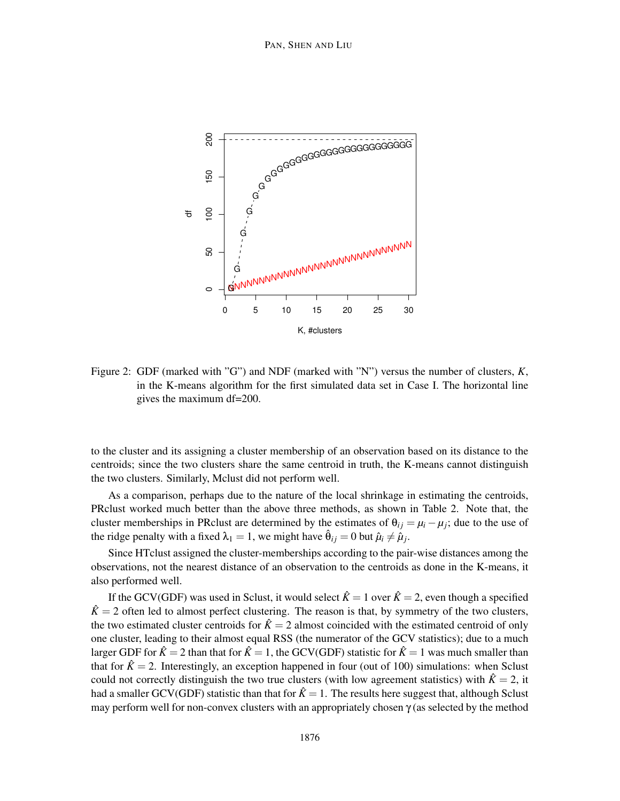

Figure 2: GDF (marked with "G") and NDF (marked with "N") versus the number of clusters, *K*, in the K-means algorithm for the first simulated data set in Case I. The horizontal line gives the maximum df=200.

to the cluster and its assigning a cluster membership of an observation based on its distance to the centroids; since the two clusters share the same centroid in truth, the K-means cannot distinguish the two clusters. Similarly, Mclust did not perform well.

As a comparison, perhaps due to the nature of the local shrinkage in estimating the centroids, PRclust worked much better than the above three methods, as shown in Table 2. Note that, the cluster memberships in PRclust are determined by the estimates of  $\theta_{ij} = \mu_i - \mu_j$ ; due to the use of the ridge penalty with a fixed  $\lambda_1 = 1$ , we might have  $\hat{\theta}_{ij} = 0$  but  $\hat{\mu}_i \neq \hat{\mu}_j$ .

Since HTclust assigned the cluster-memberships according to the pair-wise distances among the observations, not the nearest distance of an observation to the centroids as done in the K-means, it also performed well.

If the GCV(GDF) was used in Sclust, it would select  $\hat{K} = 1$  over  $\hat{K} = 2$ , even though a specified  $\hat{K} = 2$  often led to almost perfect clustering. The reason is that, by symmetry of the two clusters, the two estimated cluster centroids for  $\hat{K} = 2$  almost coincided with the estimated centroid of only one cluster, leading to their almost equal RSS (the numerator of the GCV statistics); due to a much larger GDF for  $\hat{K} = 2$  than that for  $\hat{K} = 1$ , the GCV(GDF) statistic for  $\hat{K} = 1$  was much smaller than that for  $\hat{K} = 2$ . Interestingly, an exception happened in four (out of 100) simulations: when Sclust could not correctly distinguish the two true clusters (with low agreement statistics) with  $\hat{K} = 2$ , it had a smaller GCV(GDF) statistic than that for  $\hat{K} = 1$ . The results here suggest that, although Sclust may perform well for non-convex clusters with an appropriately chosen  $\gamma$  (as selected by the method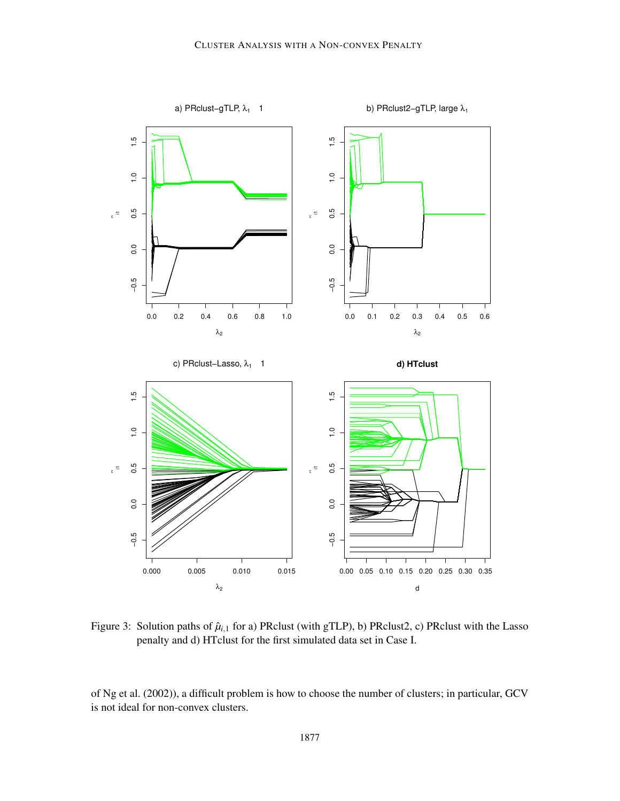

Figure 3: Solution paths of  $\hat{\mu}_{i,1}$  for a) PRclust (with gTLP), b) PRclust<sub>2</sub>, c) PRclust with the Lasso penalty and d) HTclust for the first simulated data set in Case I.

of Ng et al. (2002)), a difficult problem is how to choose the number of clusters; in particular, GCV is not ideal for non-convex clusters.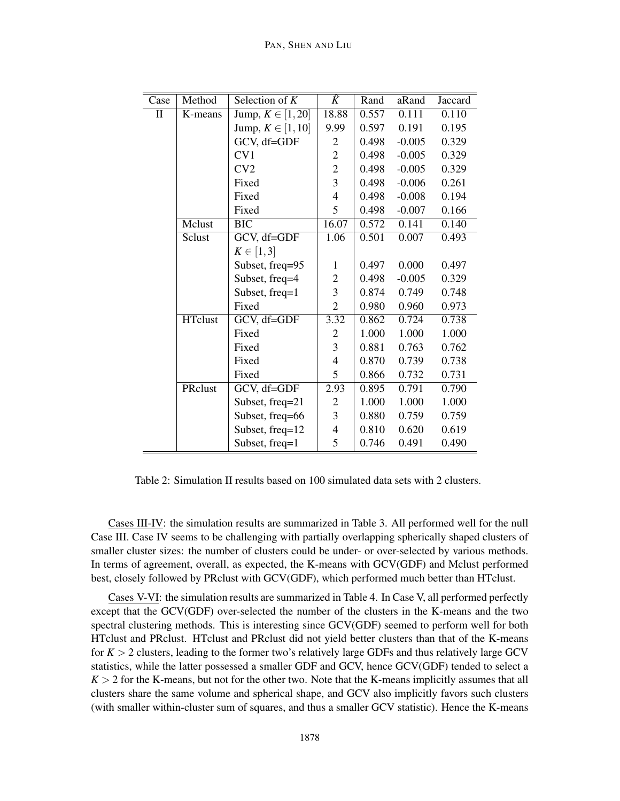#### PAN, SHEN AND LIU

| Case | Method         | Selection of $K$      | $\hat{K}$                | Rand  | aRand    | Jaccard |
|------|----------------|-----------------------|--------------------------|-------|----------|---------|
| П    | K-means        | Jump, $K \in [1, 20]$ | 18.88                    | 0.557 | 0.111    | 0.110   |
|      |                | Jump, $K \in [1, 10]$ | 9.99                     | 0.597 | 0.191    | 0.195   |
|      |                | GCV, df=GDF           | $\overline{c}$           | 0.498 | $-0.005$ | 0.329   |
|      |                | CV1                   | $\overline{c}$           | 0.498 | $-0.005$ | 0.329   |
|      |                | CV2                   | $\overline{c}$           | 0.498 | $-0.005$ | 0.329   |
|      |                | Fixed                 | 3                        | 0.498 | $-0.006$ | 0.261   |
|      |                | Fixed                 | $\overline{\mathcal{L}}$ | 0.498 | $-0.008$ | 0.194   |
|      |                | Fixed                 | 5                        | 0.498 | $-0.007$ | 0.166   |
|      | Mclust         | <b>BIC</b>            | 16.07                    | 0.572 | 0.141    | 0.140   |
|      | Sclust         | GCV, df=GDF           | 1.06                     | 0.501 | 0.007    | 0.493   |
|      |                | $K \in [1,3]$         |                          |       |          |         |
|      |                | Subset, freq=95       | 1                        | 0.497 | 0.000    | 0.497   |
|      |                | Subset, freq=4        | $\mathbf{2}$             | 0.498 | $-0.005$ | 0.329   |
|      |                | Subset, freq=1        | $\overline{\mathbf{3}}$  | 0.874 | 0.749    | 0.748   |
|      |                | Fixed                 | $\overline{c}$           | 0.980 | 0.960    | 0.973   |
|      | <b>HTclust</b> | GCV, df=GDF           | 3.32                     | 0.862 | 0.724    | 0.738   |
|      |                | Fixed                 | 2                        | 1.000 | 1.000    | 1.000   |
|      |                | Fixed                 | 3                        | 0.881 | 0.763    | 0.762   |
|      |                | Fixed                 | $\overline{4}$           | 0.870 | 0.739    | 0.738   |
|      |                | Fixed                 | 5                        | 0.866 | 0.732    | 0.731   |
|      | PRclust        | GCV, df=GDF           | 2.93                     | 0.895 | 0.791    | 0.790   |
|      |                | Subset, freq=21       | $\overline{c}$           | 1.000 | 1.000    | 1.000   |
|      |                | Subset, freq=66       | 3                        | 0.880 | 0.759    | 0.759   |
|      |                | Subset, freq=12       | $\overline{\mathcal{A}}$ | 0.810 | 0.620    | 0.619   |
|      |                | Subset, freq=1        | 5                        | 0.746 | 0.491    | 0.490   |

Table 2: Simulation II results based on 100 simulated data sets with 2 clusters.

Cases III-IV: the simulation results are summarized in Table 3. All performed well for the null Case III. Case IV seems to be challenging with partially overlapping spherically shaped clusters of smaller cluster sizes: the number of clusters could be under- or over-selected by various methods. In terms of agreement, overall, as expected, the K-means with GCV(GDF) and Mclust performed best, closely followed by PRclust with GCV(GDF), which performed much better than HTclust.

Cases V-VI: the simulation results are summarized in Table 4. In Case V, all performed perfectly except that the GCV(GDF) over-selected the number of the clusters in the K-means and the two spectral clustering methods. This is interesting since GCV(GDF) seemed to perform well for both HTclust and PRclust. HTclust and PRclust did not yield better clusters than that of the K-means for  $K > 2$  clusters, leading to the former two's relatively large GDFs and thus relatively large GCV statistics, while the latter possessed a smaller GDF and GCV, hence GCV(GDF) tended to select a  $K > 2$  for the K-means, but not for the other two. Note that the K-means implicitly assumes that all clusters share the same volume and spherical shape, and GCV also implicitly favors such clusters (with smaller within-cluster sum of squares, and thus a smaller GCV statistic). Hence the K-means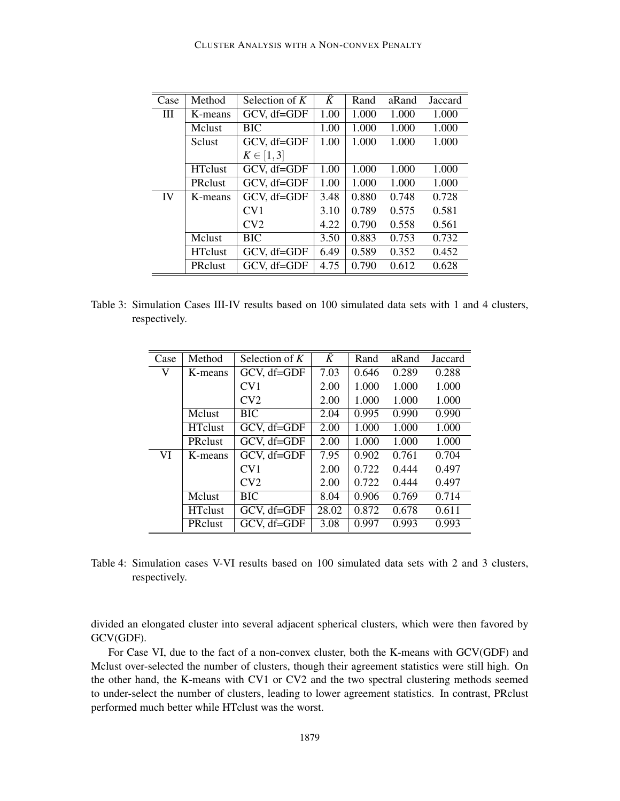| Case | Method         | Selection of $K$ | $\widehat{K}$ | Rand  | aRand | Jaccard |
|------|----------------|------------------|---------------|-------|-------|---------|
| Ш    | K-means        | GCV, df=GDF      | 1.00          | 1.000 | 1.000 | 1.000   |
|      | Mclust         | <b>BIC</b>       | 1.00          | 1.000 | 1.000 | 1.000   |
|      | <b>Sclust</b>  | GCV, df=GDF      | 1.00          | 1.000 | 1.000 | 1.000   |
|      |                | $K \in [1,3]$    |               |       |       |         |
|      | <b>HTclust</b> | GCV, df=GDF      | 1.00          | 1.000 | 1.000 | 1.000   |
|      | <b>PRclust</b> | GCV, df=GDF      | 1.00          | 1.000 | 1.000 | 1.000   |
| IV   | K-means        | GCV, df=GDF      | 3.48          | 0.880 | 0.748 | 0.728   |
|      |                | CV1              | 3.10          | 0.789 | 0.575 | 0.581   |
|      |                | CV2              | 4.22          | 0.790 | 0.558 | 0.561   |
|      | Mclust         | BIC              | 3.50          | 0.883 | 0.753 | 0.732   |
|      | <b>HTclust</b> | GCV, df=GDF      | 6.49          | 0.589 | 0.352 | 0.452   |
|      | <b>PRclust</b> | GCV, df=GDF      | 4.75          | 0.790 | 0.612 | 0.628   |

| Table 3: Simulation Cases III-IV results based on 100 simulated data sets with 1 and 4 clusters, |  |  |  |  |  |  |
|--------------------------------------------------------------------------------------------------|--|--|--|--|--|--|
| respectively.                                                                                    |  |  |  |  |  |  |

| Case | Method         | Selection of $K$ | Ŷ     | Rand  | aRand | Jaccard |
|------|----------------|------------------|-------|-------|-------|---------|
| V    | K-means        | GCV, df=GDF      | 7.03  | 0.646 | 0.289 | 0.288   |
|      |                | CV1              | 2.00  | 1.000 | 1.000 | 1.000   |
|      |                | CV2              | 2.00  | 1.000 | 1.000 | 1.000   |
|      | Mclust         | <b>BIC</b>       | 2.04  | 0.995 | 0.990 | 0.990   |
|      | <b>HTclust</b> | GCV, df=GDF      | 2.00  | 1.000 | 1.000 | 1.000   |
|      | <b>PRclust</b> | GCV, df=GDF      | 2.00  | 1.000 | 1.000 | 1.000   |
| VI   | K-means        | GCV, df=GDF      | 7.95  | 0.902 | 0.761 | 0.704   |
|      |                | CV1              | 2.00  | 0.722 | 0.444 | 0.497   |
|      |                | CV2              | 2.00  | 0.722 | 0.444 | 0.497   |
|      | Mclust         | <b>BIC</b>       | 8.04  | 0.906 | 0.769 | 0.714   |
|      | <b>HTclust</b> | GCV, df=GDF      | 28.02 | 0.872 | 0.678 | 0.611   |
|      | PRclust        | GCV, df=GDF      | 3.08  | 0.997 | 0.993 | 0.993   |

Table 4: Simulation cases V-VI results based on 100 simulated data sets with 2 and 3 clusters, respectively.

divided an elongated cluster into several adjacent spherical clusters, which were then favored by GCV(GDF).

For Case VI, due to the fact of a non-convex cluster, both the K-means with GCV(GDF) and Mclust over-selected the number of clusters, though their agreement statistics were still high. On the other hand, the K-means with CV1 or CV2 and the two spectral clustering methods seemed to under-select the number of clusters, leading to lower agreement statistics. In contrast, PRclust performed much better while HTclust was the worst.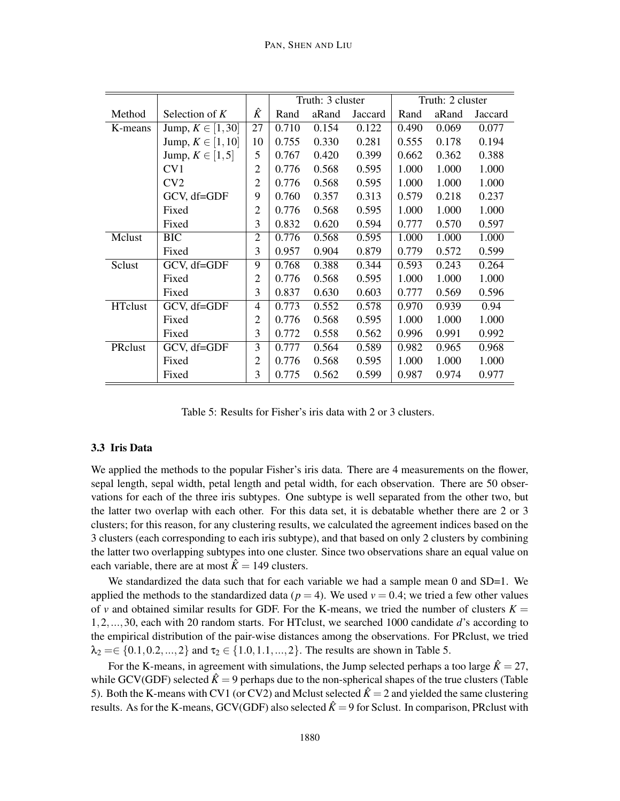|                |                       |                | Truth: 3 cluster |       | Truth: 2 cluster |       |       |         |
|----------------|-----------------------|----------------|------------------|-------|------------------|-------|-------|---------|
| Method         | Selection of $K$      | Ŷ              | Rand             | aRand | Jaccard          | Rand  | aRand | Jaccard |
| K-means        | Jump, $K \in [1, 30]$ | 27             | 0.710            | 0.154 | 0.122            | 0.490 | 0.069 | 0.077   |
|                | Jump, $K \in [1, 10]$ | 10             | 0.755            | 0.330 | 0.281            | 0.555 | 0.178 | 0.194   |
|                | Jump, $K \in [1, 5]$  | 5              | 0.767            | 0.420 | 0.399            | 0.662 | 0.362 | 0.388   |
|                | CV1                   | $\overline{2}$ | 0.776            | 0.568 | 0.595            | 1.000 | 1.000 | 1.000   |
|                | CV2                   | $\overline{2}$ | 0.776            | 0.568 | 0.595            | 1.000 | 1.000 | 1.000   |
|                | GCV, df=GDF           | 9              | 0.760            | 0.357 | 0.313            | 0.579 | 0.218 | 0.237   |
|                | Fixed                 | $\overline{2}$ | 0.776            | 0.568 | 0.595            | 1.000 | 1.000 | 1.000   |
|                | Fixed                 | 3              | 0.832            | 0.620 | 0.594            | 0.777 | 0.570 | 0.597   |
| Mclust         | <b>BIC</b>            | 2              | 0.776            | 0.568 | 0.595            | 1.000 | 1.000 | 1.000   |
|                | Fixed                 | 3              | 0.957            | 0.904 | 0.879            | 0.779 | 0.572 | 0.599   |
| Sclust         | GCV, df=GDF           | 9              | 0.768            | 0.388 | 0.344            | 0.593 | 0.243 | 0.264   |
|                | Fixed                 | $\overline{2}$ | 0.776            | 0.568 | 0.595            | 1.000 | 1.000 | 1.000   |
|                | Fixed                 | 3              | 0.837            | 0.630 | 0.603            | 0.777 | 0.569 | 0.596   |
| <b>HTclust</b> | GCV, df=GDF           | 4              | 0.773            | 0.552 | 0.578            | 0.970 | 0.939 | 0.94    |
|                | Fixed                 | $\overline{c}$ | 0.776            | 0.568 | 0.595            | 1.000 | 1.000 | 1.000   |
|                | Fixed                 | 3              | 0.772            | 0.558 | 0.562            | 0.996 | 0.991 | 0.992   |
| PRclust        | GCV, df=GDF           | 3              | 0.777            | 0.564 | 0.589            | 0.982 | 0.965 | 0.968   |
|                | Fixed                 | $\overline{2}$ | 0.776            | 0.568 | 0.595            | 1.000 | 1.000 | 1.000   |
|                | Fixed                 | 3              | 0.775            | 0.562 | 0.599            | 0.987 | 0.974 | 0.977   |

Table 5: Results for Fisher's iris data with 2 or 3 clusters.

#### 3.3 Iris Data

We applied the methods to the popular Fisher's iris data. There are 4 measurements on the flower, sepal length, sepal width, petal length and petal width, for each observation. There are 50 observations for each of the three iris subtypes. One subtype is well separated from the other two, but the latter two overlap with each other. For this data set, it is debatable whether there are 2 or 3 clusters; for this reason, for any clustering results, we calculated the agreement indices based on the 3 clusters (each corresponding to each iris subtype), and that based on only 2 clusters by combining the latter two overlapping subtypes into one cluster. Since two observations share an equal value on each variable, there are at most  $\hat{K} = 149$  clusters.

We standardized the data such that for each variable we had a sample mean  $0$  and  $SD=1$ . We applied the methods to the standardized data ( $p = 4$ ). We used  $v = 0.4$ ; we tried a few other values of *v* and obtained similar results for GDF. For the K-means, we tried the number of clusters  $K =$ 1,2,...,30, each with 20 random starts. For HTclust, we searched 1000 candidate *d*'s according to the empirical distribution of the pair-wise distances among the observations. For PRclust, we tried  $\lambda_2 = \in \{0.1, 0.2, ..., 2\}$  and  $\tau_2 \in \{1.0, 1.1, ..., 2\}$ . The results are shown in Table 5.

For the K-means, in agreement with simulations, the Jump selected perhaps a too large  $\hat{K} = 27$ , while GCV(GDF) selected  $\hat{K} = 9$  perhaps due to the non-spherical shapes of the true clusters (Table 5). Both the K-means with CV1 (or CV2) and Mclust selected  $\hat{K} = 2$  and yielded the same clustering results. As for the K-means, GCV(GDF) also selected  $\hat{K} = 9$  for Sclust. In comparison, PRclust with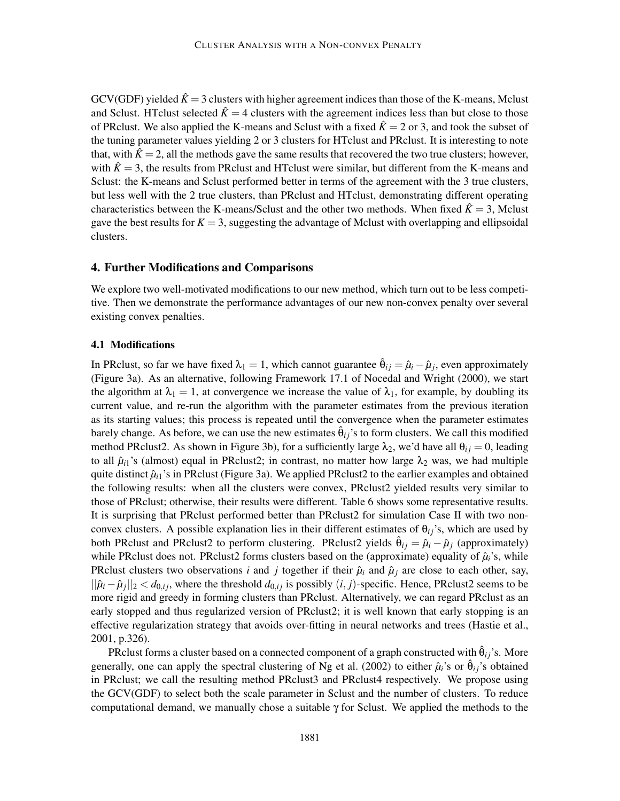GCV(GDF) yielded  $\hat{K} = 3$  clusters with higher agreement indices than those of the K-means, Mclust and Sclust. HTclust selected  $\hat{K} = 4$  clusters with the agreement indices less than but close to those of PRclust. We also applied the K-means and Sclust with a fixed  $\hat{K} = 2$  or 3, and took the subset of the tuning parameter values yielding 2 or 3 clusters for HTclust and PRclust. It is interesting to note that, with  $\hat{K} = 2$ , all the methods gave the same results that recovered the two true clusters; however, with  $\hat{K} = 3$ , the results from PRclust and HTclust were similar, but different from the K-means and Sclust: the K-means and Sclust performed better in terms of the agreement with the 3 true clusters, but less well with the 2 true clusters, than PRclust and HTclust, demonstrating different operating characteristics between the K-means/Sclust and the other two methods. When fixed  $\hat{K} = 3$ , Mclust gave the best results for  $K = 3$ , suggesting the advantage of Mclust with overlapping and ellipsoidal clusters.

# 4. Further Modifications and Comparisons

We explore two well-motivated modifications to our new method, which turn out to be less competitive. Then we demonstrate the performance advantages of our new non-convex penalty over several existing convex penalties.

# 4.1 Modifications

In PRclust, so far we have fixed  $\lambda_1 = 1$ , which cannot guarantee  $\hat{\theta}_{ij} = \hat{\mu}_i - \hat{\mu}_j$ , even approximately (Figure 3a). As an alternative, following Framework 17.1 of Nocedal and Wright (2000), we start the algorithm at  $\lambda_1 = 1$ , at convergence we increase the value of  $\lambda_1$ , for example, by doubling its current value, and re-run the algorithm with the parameter estimates from the previous iteration as its starting values; this process is repeated until the convergence when the parameter estimates barely change. As before, we can use the new estimates  $\hat{\theta}_{ij}$ 's to form clusters. We call this modified method PRclust2. As shown in Figure 3b), for a sufficiently large  $\lambda_2$ , we'd have all  $\theta_i = 0$ , leading to all  $\hat{\mu}_{i1}$ 's (almost) equal in PRclust2; in contrast, no matter how large  $\lambda_2$  was, we had multiple quite distinct  $\hat{\mu}_{i1}$ 's in PRclust (Figure 3a). We applied PRclust2 to the earlier examples and obtained the following results: when all the clusters were convex, PRclust2 yielded results very similar to those of PRclust; otherwise, their results were different. Table 6 shows some representative results. It is surprising that PRclust performed better than PRclust2 for simulation Case II with two nonconvex clusters. A possible explanation lies in their different estimates of  $\theta_{ij}$ 's, which are used by both PRclust and PRclust2 to perform clustering. PRclust2 yields  $\hat{\theta}_{ij} = \hat{\mu}_i - \hat{\mu}_j$  (approximately) while PRclust does not. PRclust2 forms clusters based on the (approximate) equality of  $\hat{\mu}_i$ 's, while PRclust clusters two observations *i* and *j* together if their  $\hat{\mu}_i$  and  $\hat{\mu}_j$  are close to each other, say,  $||\hat{\mu}_i - \hat{\mu}_j||_2 < d_{0,ij}$ , where the threshold  $d_{0,ij}$  is possibly  $(i, j)$ -specific. Hence, PRclust2 seems to be more rigid and greedy in forming clusters than PRclust. Alternatively, we can regard PRclust as an early stopped and thus regularized version of PRclust2; it is well known that early stopping is an effective regularization strategy that avoids over-fitting in neural networks and trees (Hastie et al., 2001, p.326).

PRclust forms a cluster based on a connected component of a graph constructed with  $\hat{\theta}_{ij}$ 's. More generally, one can apply the spectral clustering of Ng et al. (2002) to either  $\hat{\mu}_i$ 's or  $\hat{\theta}_{ij}$ 's obtained in PRclust; we call the resulting method PRclust3 and PRclust4 respectively. We propose using the GCV(GDF) to select both the scale parameter in Sclust and the number of clusters. To reduce computational demand, we manually chose a suitable  $\gamma$  for Sclust. We applied the methods to the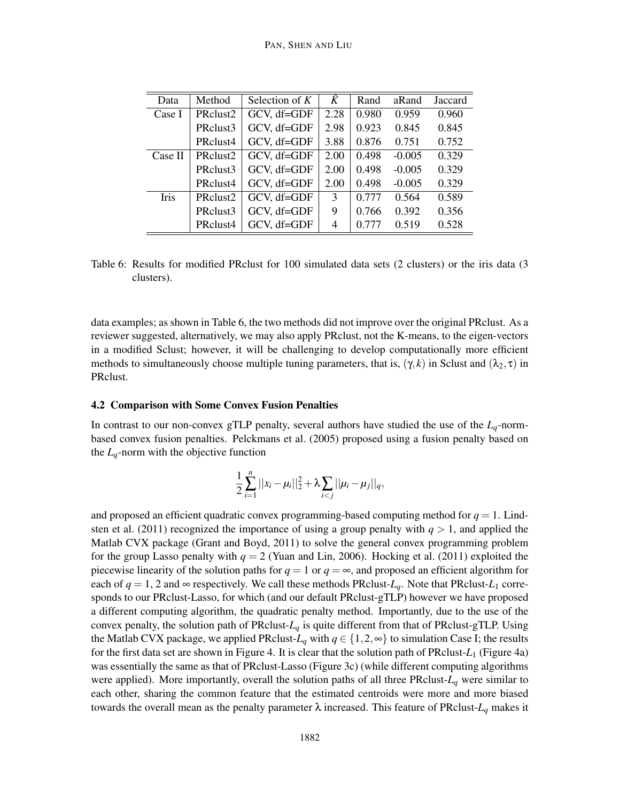| Data        | Method               | Selection of $K$ | $\overline{\hat{K}}$ | Rand  | aRand    | Jaccard |
|-------------|----------------------|------------------|----------------------|-------|----------|---------|
| Case I      | PRclust <sub>2</sub> | GCV, df=GDF      | 2.28                 | 0.980 | 0.959    | 0.960   |
|             | PRclust3             | GCV, df=GDF      | 2.98                 | 0.923 | 0.845    | 0.845   |
|             | PRclust4             | GCV, df=GDF      | 3.88                 | 0.876 | 0.751    | 0.752   |
| Case II     | PRclust <sub>2</sub> | GCV, df=GDF      | 2.00                 | 0.498 | $-0.005$ | 0.329   |
|             | PRclust3             | GCV, df=GDF      | 2.00                 | 0.498 | $-0.005$ | 0.329   |
|             | PRclust4             | GCV, df=GDF      | 2.00                 | 0.498 | $-0.005$ | 0.329   |
| <b>Iris</b> | PRclust <sub>2</sub> | GCV, df=GDF      | 3                    | 0.777 | 0.564    | 0.589   |
|             | PRclust3             | GCV, df=GDF      | 9                    | 0.766 | 0.392    | 0.356   |
|             | PRclust4             | GCV, df=GDF      | 4                    | 0.777 | 0.519    | 0.528   |

Table 6: Results for modified PRclust for 100 simulated data sets (2 clusters) or the iris data (3 clusters).

data examples; as shown in Table 6, the two methods did not improve over the original PRclust. As a reviewer suggested, alternatively, we may also apply PRclust, not the K-means, to the eigen-vectors in a modified Sclust; however, it will be challenging to develop computationally more efficient methods to simultaneously choose multiple tuning parameters, that is,  $(\gamma, k)$  in Sclust and  $(\lambda_2, \tau)$  in PRclust.

#### 4.2 Comparison with Some Convex Fusion Penalties

In contrast to our non-convex gTLP penalty, several authors have studied the use of the  $L_q$ -normbased convex fusion penalties. Pelckmans et al. (2005) proposed using a fusion penalty based on the *Lq*-norm with the objective function

$$
\frac{1}{2}\sum_{i=1}^n||x_i-\mu_i||_2^2+\lambda\sum_{i
$$

and proposed an efficient quadratic convex programming-based computing method for  $q = 1$ . Lindsten et al. (2011) recognized the importance of using a group penalty with  $q > 1$ , and applied the Matlab CVX package (Grant and Boyd, 2011) to solve the general convex programming problem for the group Lasso penalty with  $q = 2$  (Yuan and Lin, 2006). Hocking et al. (2011) exploited the piecewise linearity of the solution paths for  $q = 1$  or  $q = \infty$ , and proposed an efficient algorithm for each of  $q = 1$ , 2 and  $\infty$  respectively. We call these methods PRclust-*L<sub>q</sub>*. Note that PRclust-*L*<sub>1</sub> corresponds to our PRclust-Lasso, for which (and our default PRclust-gTLP) however we have proposed a different computing algorithm, the quadratic penalty method. Importantly, due to the use of the convex penalty, the solution path of PRclust-*L<sup>q</sup>* is quite different from that of PRclust-gTLP. Using the Matlab CVX package, we applied PRclust- $L_q$  with  $q \in \{1,2,\infty\}$  to simulation Case I; the results for the first data set are shown in Figure 4. It is clear that the solution path of PRclust-*L*<sup>1</sup> (Figure 4a) was essentially the same as that of PRclust-Lasso (Figure 3c) (while different computing algorithms were applied). More importantly, overall the solution paths of all three PRclust-*L<sup>q</sup>* were similar to each other, sharing the common feature that the estimated centroids were more and more biased towards the overall mean as the penalty parameter λ increased. This feature of PRclust-*L<sup>q</sup>* makes it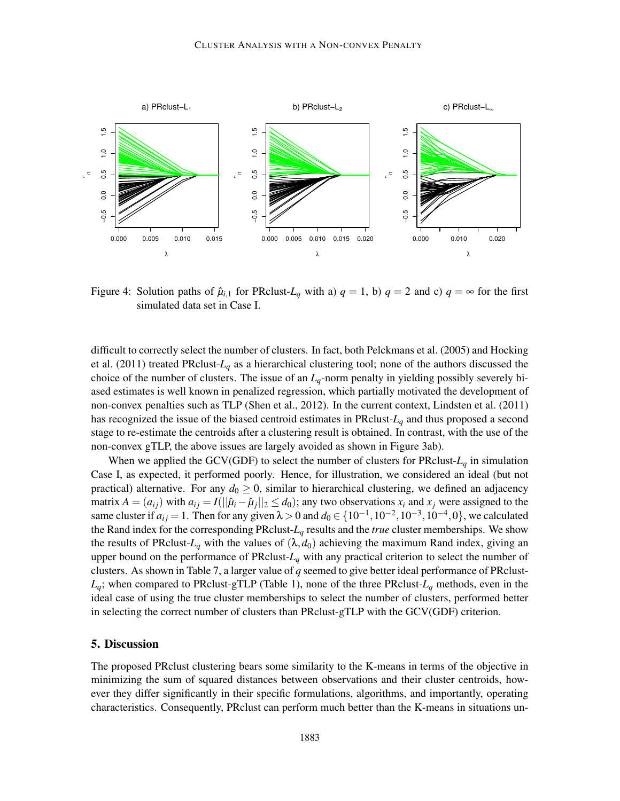

Figure 4: Solution paths of  $\hat{\mu}_{i,1}$  for PRclust-*L<sub>q</sub>* with a)  $q = 1$ , b)  $q = 2$  and c)  $q = \infty$  for the first simulated data set in Case I.

difficult to correctly select the number of clusters. In fact, both Pelckmans et al. (2005) and Hocking et al. (2011) treated PRclust-*L<sup>q</sup>* as a hierarchical clustering tool; none of the authors discussed the choice of the number of clusters. The issue of an *Lq*-norm penalty in yielding possibly severely biased estimates is well known in penalized regression, which partially motivated the development of non-convex penalties such as TLP (Shen et al., 2012). In the current context, Lindsten et al. (2011) has recognized the issue of the biased centroid estimates in PRclust-*L<sup>q</sup>* and thus proposed a second stage to re-estimate the centroids after a clustering result is obtained. In contrast, with the use of the non-convex gTLP, the above issues are largely avoided as shown in Figure 3ab).

When we applied the GCV(GDF) to select the number of clusters for PRclust- $L_q$  in simulation Case I, as expected, it performed poorly. Hence, for illustration, we considered an ideal (but not practical) alternative. For any  $d_0 \ge 0$ , similar to hierarchical clustering, we defined an adjacency matrix  $A = (a_{ij})$  with  $a_{ij} = I(||\hat{\mu}_i - \hat{\mu}_j||_2 \le d_0)$ ; any two observations  $x_i$  and  $x_j$  were assigned to the same cluster if  $a_{ij} = 1$ . Then for any given  $\lambda > 0$  and  $d_0 \in \{10^{-1}, 10^{-2}, 10^{-3}, 10^{-4}, 0\}$ , we calculated the Rand index for the corresponding PRclust-*L<sup>q</sup>* results and the *true* cluster memberships. We show the results of PRclust- $L_q$  with the values of  $(\lambda, d_0)$  achieving the maximum Rand index, giving an upper bound on the performance of PRclust- $L_q$  with any practical criterion to select the number of clusters. As shown in Table 7, a larger value of *q* seemed to give better ideal performance of PRclust- $L_q$ ; when compared to PRclust-gTLP (Table 1), none of the three PRclust- $L_q$  methods, even in the ideal case of using the true cluster memberships to select the number of clusters, performed better in selecting the correct number of clusters than PRclust-gTLP with the GCV(GDF) criterion.

#### 5. Discussion

The proposed PRclust clustering bears some similarity to the K-means in terms of the objective in minimizing the sum of squared distances between observations and their cluster centroids, however they differ significantly in their specific formulations, algorithms, and importantly, operating characteristics. Consequently, PRclust can perform much better than the K-means in situations un-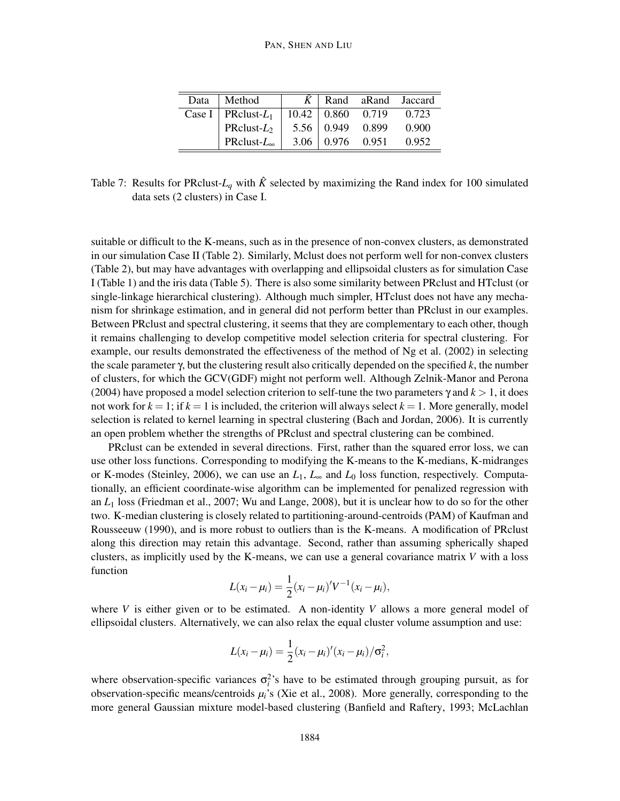| Data | Method                  | K    |                                | Rand aRand Jaccard |       |
|------|-------------------------|------|--------------------------------|--------------------|-------|
|      | Case I   PRclust- $L_1$ |      | $10.42 \mid 0.860 \quad 0.719$ |                    | 0.723 |
|      | PRclust- $L_2$          |      | $5.56 \mid 0.949$              | 0.899              | 0.900 |
|      | PRclust- $L_{\infty}$   | 3.06 |                                | 0.976 0.951        | 0.952 |

Table 7: Results for PRclust- $L_q$  with  $\hat{K}$  selected by maximizing the Rand index for 100 simulated data sets (2 clusters) in Case I.

suitable or difficult to the K-means, such as in the presence of non-convex clusters, as demonstrated in our simulation Case II (Table 2). Similarly, Mclust does not perform well for non-convex clusters (Table 2), but may have advantages with overlapping and ellipsoidal clusters as for simulation Case I (Table 1) and the iris data (Table 5). There is also some similarity between PRclust and HTclust (or single-linkage hierarchical clustering). Although much simpler, HTclust does not have any mechanism for shrinkage estimation, and in general did not perform better than PRclust in our examples. Between PRclust and spectral clustering, it seems that they are complementary to each other, though it remains challenging to develop competitive model selection criteria for spectral clustering. For example, our results demonstrated the effectiveness of the method of Ng et al. (2002) in selecting the scale parameter γ, but the clustering result also critically depended on the specified *k*, the number of clusters, for which the GCV(GDF) might not perform well. Although Zelnik-Manor and Perona (2004) have proposed a model selection criterion to self-tune the two parameters  $\gamma$  and  $k > 1$ , it does not work for  $k = 1$ ; if  $k = 1$  is included, the criterion will always select  $k = 1$ . More generally, model selection is related to kernel learning in spectral clustering (Bach and Jordan, 2006). It is currently an open problem whether the strengths of PRclust and spectral clustering can be combined.

PRclust can be extended in several directions. First, rather than the squared error loss, we can use other loss functions. Corresponding to modifying the K-means to the K-medians, K-midranges or K-modes (Steinley, 2006), we can use an *L*1, *L*<sup>∞</sup> and *L*<sup>0</sup> loss function, respectively. Computationally, an efficient coordinate-wise algorithm can be implemented for penalized regression with an *L*<sup>1</sup> loss (Friedman et al., 2007; Wu and Lange, 2008), but it is unclear how to do so for the other two. K-median clustering is closely related to partitioning-around-centroids (PAM) of Kaufman and Rousseeuw (1990), and is more robust to outliers than is the K-means. A modification of PRclust along this direction may retain this advantage. Second, rather than assuming spherically shaped clusters, as implicitly used by the K-means, we can use a general covariance matrix *V* with a loss function

$$
L(x_i - \mu_i) = \frac{1}{2}(x_i - \mu_i)'V^{-1}(x_i - \mu_i),
$$

where *V* is either given or to be estimated. A non-identity *V* allows a more general model of ellipsoidal clusters. Alternatively, we can also relax the equal cluster volume assumption and use:

$$
L(x_i-\mu_i)=\frac{1}{2}(x_i-\mu_i)'(x_i-\mu_i)/\sigma_i^2,
$$

where observation-specific variances  $\sigma_i^2$ 's have to be estimated through grouping pursuit, as for observation-specific means/centroids  $\mu_i$ 's (Xie et al., 2008). More generally, corresponding to the more general Gaussian mixture model-based clustering (Banfield and Raftery, 1993; McLachlan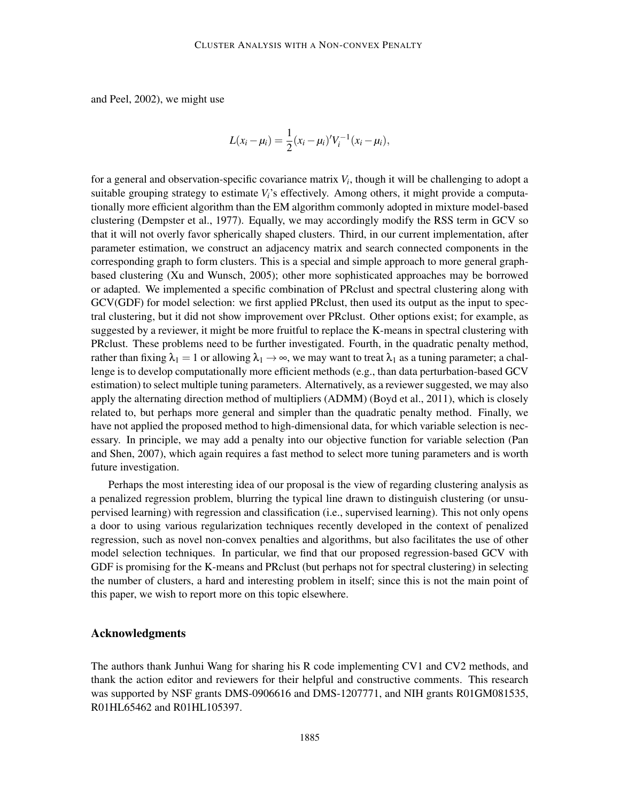and Peel, 2002), we might use

$$
L(x_i - \mu_i) = \frac{1}{2}(x_i - \mu_i)'V_i^{-1}(x_i - \mu_i),
$$

for a general and observation-specific covariance matrix *V<sup>i</sup>* , though it will be challenging to adopt a suitable grouping strategy to estimate  $V_i$ 's effectively. Among others, it might provide a computationally more efficient algorithm than the EM algorithm commonly adopted in mixture model-based clustering (Dempster et al., 1977). Equally, we may accordingly modify the RSS term in GCV so that it will not overly favor spherically shaped clusters. Third, in our current implementation, after parameter estimation, we construct an adjacency matrix and search connected components in the corresponding graph to form clusters. This is a special and simple approach to more general graphbased clustering (Xu and Wunsch, 2005); other more sophisticated approaches may be borrowed or adapted. We implemented a specific combination of PRclust and spectral clustering along with GCV(GDF) for model selection: we first applied PRclust, then used its output as the input to spectral clustering, but it did not show improvement over PRclust. Other options exist; for example, as suggested by a reviewer, it might be more fruitful to replace the K-means in spectral clustering with PRclust. These problems need to be further investigated. Fourth, in the quadratic penalty method, rather than fixing  $\lambda_1 = 1$  or allowing  $\lambda_1 \to \infty$ , we may want to treat  $\lambda_1$  as a tuning parameter; a challenge is to develop computationally more efficient methods (e.g., than data perturbation-based GCV estimation) to select multiple tuning parameters. Alternatively, as a reviewer suggested, we may also apply the alternating direction method of multipliers (ADMM) (Boyd et al., 2011), which is closely related to, but perhaps more general and simpler than the quadratic penalty method. Finally, we have not applied the proposed method to high-dimensional data, for which variable selection is necessary. In principle, we may add a penalty into our objective function for variable selection (Pan and Shen, 2007), which again requires a fast method to select more tuning parameters and is worth future investigation.

Perhaps the most interesting idea of our proposal is the view of regarding clustering analysis as a penalized regression problem, blurring the typical line drawn to distinguish clustering (or unsupervised learning) with regression and classification (i.e., supervised learning). This not only opens a door to using various regularization techniques recently developed in the context of penalized regression, such as novel non-convex penalties and algorithms, but also facilitates the use of other model selection techniques. In particular, we find that our proposed regression-based GCV with GDF is promising for the K-means and PRclust (but perhaps not for spectral clustering) in selecting the number of clusters, a hard and interesting problem in itself; since this is not the main point of this paper, we wish to report more on this topic elsewhere.

# Acknowledgments

The authors thank Junhui Wang for sharing his R code implementing CV1 and CV2 methods, and thank the action editor and reviewers for their helpful and constructive comments. This research was supported by NSF grants DMS-0906616 and DMS-1207771, and NIH grants R01GM081535, R01HL65462 and R01HL105397.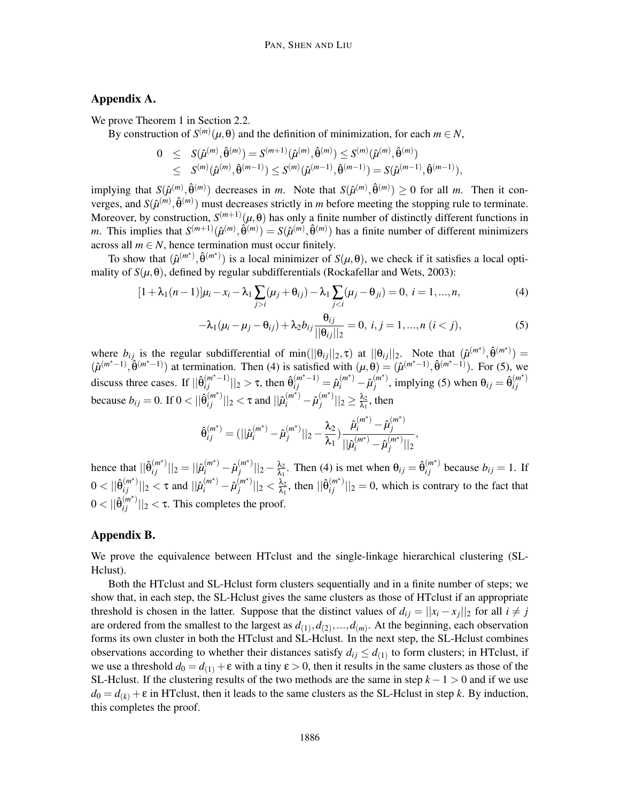# Appendix A.

We prove Theorem 1 in Section 2.2.

By construction of  $S^{(m)}(\mu, \theta)$  and the definition of minimization, for each  $m \in N$ ,

$$
\begin{array}{rcl} 0 & \leq & S(\hat{\mu}^{(m)},\hat{\theta}^{(m)})=S^{(m+1)}(\hat{\mu}^{(m)},\hat{\theta}^{(m)})\leq S^{(m)}(\hat{\mu}^{(m)},\hat{\theta}^{(m)}) \\ & \leq & S^{(m)}(\hat{\mu}^{(m)},\hat{\theta}^{(m-1)})\leq S^{(m)}(\hat{\mu}^{(m-1)},\hat{\theta}^{(m-1)})=S(\hat{\mu}^{(m-1)},\hat{\theta}^{(m-1)}), \end{array}
$$

implying that  $S(\hat{\mu}^{(m)}, \hat{\theta}^{(m)})$  decreases in *m*. Note that  $S(\hat{\mu}^{(m)}, \hat{\theta}^{(m)}) \ge 0$  for all *m*. Then it converges, and  $S(\hat{\mu}^{(m)}, \hat{\theta}^{(m)})$  must decreases strictly in *m* before meeting the stopping rule to terminate. Moreover, by construction,  $S^{(m+1)}(\mu, \theta)$  has only a finite number of distinctly different functions in *m*. This implies that  $S^{(m+1)}(\hat{\mu}^{(m)}, \hat{\theta}^{(m)}) = S(\hat{\mu}^{(m)}, \hat{\theta}^{(m)})$  has a finite number of different minimizers across all  $m \in N$ , hence termination must occur finitely.

To show that  $(\hat{\mu}^{(m^*)}, \hat{\theta}^{(m^*)})$  is a local minimizer of  $S(\mu, \theta)$ , we check if it satisfies a local optimality of  $S(\mu, \theta)$ , defined by regular subdifferentials (Rockafellar and Wets, 2003):

$$
[1 + \lambda_1(n-1)]\mu_i - x_i - \lambda_1 \sum_{j>i} (\mu_j + \theta_{ij}) - \lambda_1 \sum_{j (4)
$$

$$
-\lambda_1(\mu_i - \mu_j - \theta_{ij}) + \lambda_2 b_{ij} \frac{\theta_{ij}}{||\theta_{ij}||_2} = 0, i, j = 1, ..., n \ (i < j),
$$
 (5)

where  $b_{ij}$  is the regular subdifferential of min( $||\theta_{ij}||_2, \tau$ ) at  $||\theta_{ij}||_2$ . Note that  $(\hat{\mu}^{(m^*)}, \hat{\theta}^{(m^*)})$  =  $(\hat{\mu}^{(m^x-1)}, \hat{\theta}^{(m^x-1)})$  at termination. Then (4) is satisfied with  $(\mu, \theta) = (\hat{\mu}^{(m^x-1)}, \hat{\theta}^{(m^x-1)})$ . For (5), we discuss three cases. If  $||\hat{\theta}_{ij}^{(m^*-1)}||_2 > \tau$ , then  $\hat{\theta}_{ij}^{(m^*-1)} = \hat{\mu}_i^{(m^*)} - \hat{\mu}_j^{(m^*)}$  $j^{(m^*)}$ , implying (5) when  $\theta_{ij} = \hat{\theta}_{ij}^{(m^*)}$ *i j* because  $b_{ij} = 0$ . If  $0 < ||\hat{\theta}_{ij}^{(m^*)}||_2 < \tau$  and  $||\hat{\mu}_{i}^{(m^*)} - \hat{\mu}_{j}^{(m^*)}$  $\frac{(m^{\star})}{j}||_2 \geq \frac{\lambda_2}{\lambda_1}$  $\frac{\lambda_2}{\lambda_1}$ , then

$$
\hat{\theta}_{ij}^{(m^\star)}=(||\hat{\mu}_i^{(m^\star)}-\hat{\mu}_j^{(m^\star)}||_2-\frac{\lambda_2}{\lambda_1})\frac{\hat{\mu}_i^{(m^\star)}-\hat{\mu}_j^{(m^\star)}}{||\hat{\mu}_i^{(m^\star)}-\hat{\mu}_j^{(m^\star)}||_2},
$$

hence that  $||\hat{\theta}_{ij}^{(m^*)}||_2 = ||\hat{\mu}_i^{(m^*)} - \hat{\mu}_j^{(m^*)}$  $\int\limits_{j}^{(m^{\star})}||_{2}-\frac{\lambda_{2}}{\lambda_{1}}$  $\frac{\lambda_2}{\lambda_1}$ . Then (4) is met when  $\theta_{ij} = \hat{\theta}_{ij}^{(m^*)}$  because  $b_{ij} = 1$ . If  $0 < ||\hat{\theta}_{ij}^{(m^*)}||_2 < \tau$  and  $||\hat{\mu}_i^{(m^*)} - \hat{\mu}_j^{(m^*)}$  $\frac{(m^{\star})}{j}$   $||_2 < \frac{\lambda_2}{\lambda_1}$  $\frac{\lambda_2}{\lambda_1}$ , then  $\|\hat{\theta}_{ij}^{(m^*)}\|_2 = 0$ , which is contrary to the fact that  $0 < ||\hat{\theta}_{ij}^{(m^*)}||_2 < \tau$ . This completes the proof.

#### Appendix B.

We prove the equivalence between HTclust and the single-linkage hierarchical clustering (SL-Hclust).

Both the HTclust and SL-Hclust form clusters sequentially and in a finite number of steps; we show that, in each step, the SL-Hclust gives the same clusters as those of HTclust if an appropriate threshold is chosen in the latter. Suppose that the distinct values of  $d_{ij} = ||x_i - x_j||_2$  for all  $i \neq j$ are ordered from the smallest to the largest as  $d_{(1)}, d_{(2)}, \ldots, d_{(m)}$ . At the beginning, each observation forms its own cluster in both the HTclust and SL-Hclust. In the next step, the SL-Hclust combines observations according to whether their distances satisfy  $d_{ij} \leq d_{(1)}$  to form clusters; in HTclust, if we use a threshold  $d_0 = d_{(1)} + \varepsilon$  with a tiny  $\varepsilon > 0$ , then it results in the same clusters as those of the SL-Hclust. If the clustering results of the two methods are the same in step  $k - 1 > 0$  and if we use  $d_0 = d_{(k)} + \varepsilon$  in HTclust, then it leads to the same clusters as the SL-Hclust in step *k*. By induction, this completes the proof.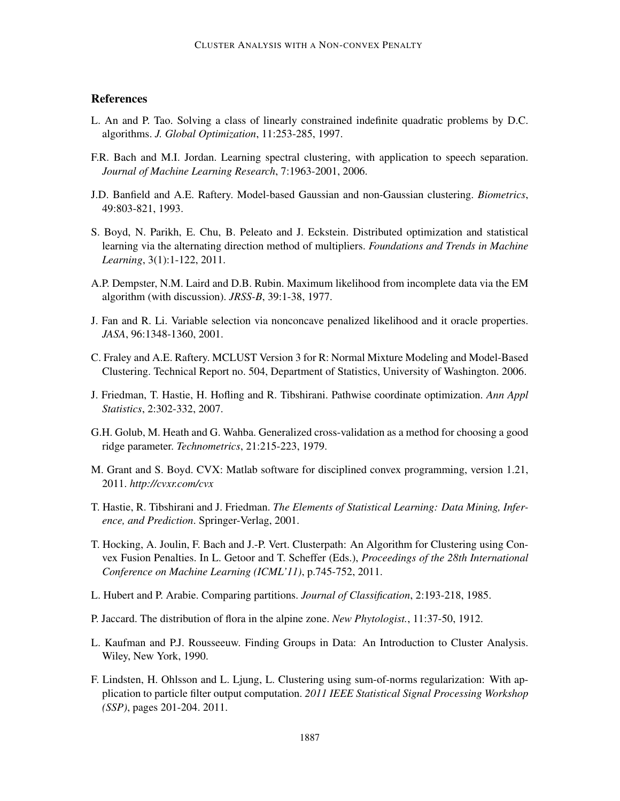# **References**

- L. An and P. Tao. Solving a class of linearly constrained indefinite quadratic problems by D.C. algorithms. *J. Global Optimization*, 11:253-285, 1997.
- F.R. Bach and M.I. Jordan. Learning spectral clustering, with application to speech separation. *Journal of Machine Learning Research*, 7:1963-2001, 2006.
- J.D. Banfield and A.E. Raftery. Model-based Gaussian and non-Gaussian clustering. *Biometrics*, 49:803-821, 1993.
- S. Boyd, N. Parikh, E. Chu, B. Peleato and J. Eckstein. Distributed optimization and statistical learning via the alternating direction method of multipliers. *Foundations and Trends in Machine Learning*, 3(1):1-122, 2011.
- A.P. Dempster, N.M. Laird and D.B. Rubin. Maximum likelihood from incomplete data via the EM algorithm (with discussion). *JRSS-B*, 39:1-38, 1977.
- J. Fan and R. Li. Variable selection via nonconcave penalized likelihood and it oracle properties. *JASA*, 96:1348-1360, 2001.
- C. Fraley and A.E. Raftery. MCLUST Version 3 for R: Normal Mixture Modeling and Model-Based Clustering. Technical Report no. 504, Department of Statistics, University of Washington. 2006.
- J. Friedman, T. Hastie, H. Hofling and R. Tibshirani. Pathwise coordinate optimization. *Ann Appl Statistics*, 2:302-332, 2007.
- G.H. Golub, M. Heath and G. Wahba. Generalized cross-validation as a method for choosing a good ridge parameter. *Technometrics*, 21:215-223, 1979.
- M. Grant and S. Boyd. CVX: Matlab software for disciplined convex programming, version 1.21, 2011. *http://cvxr.com/cvx*
- T. Hastie, R. Tibshirani and J. Friedman. *The Elements of Statistical Learning: Data Mining, Inference, and Prediction*. Springer-Verlag, 2001.
- T. Hocking, A. Joulin, F. Bach and J.-P. Vert. Clusterpath: An Algorithm for Clustering using Convex Fusion Penalties. In L. Getoor and T. Scheffer (Eds.), *Proceedings of the 28th International Conference on Machine Learning (ICML'11)*, p.745-752, 2011.
- L. Hubert and P. Arabie. Comparing partitions. *Journal of Classification*, 2:193-218, 1985.
- P. Jaccard. The distribution of flora in the alpine zone. *New Phytologist.*, 11:37-50, 1912.
- L. Kaufman and P.J. Rousseeuw. Finding Groups in Data: An Introduction to Cluster Analysis. Wiley, New York, 1990.
- F. Lindsten, H. Ohlsson and L. Ljung, L. Clustering using sum-of-norms regularization: With application to particle filter output computation. *2011 IEEE Statistical Signal Processing Workshop (SSP)*, pages 201-204. 2011.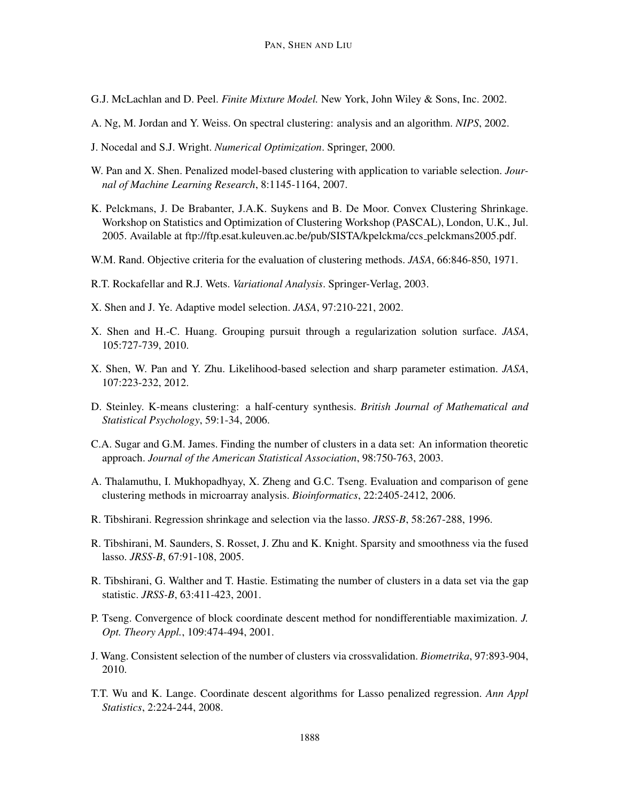- G.J. McLachlan and D. Peel. *Finite Mixture Model.* New York, John Wiley & Sons, Inc. 2002.
- A. Ng, M. Jordan and Y. Weiss. On spectral clustering: analysis and an algorithm. *NIPS*, 2002.
- J. Nocedal and S.J. Wright. *Numerical Optimization*. Springer, 2000.
- W. Pan and X. Shen. Penalized model-based clustering with application to variable selection. *Journal of Machine Learning Research*, 8:1145-1164, 2007.
- K. Pelckmans, J. De Brabanter, J.A.K. Suykens and B. De Moor. Convex Clustering Shrinkage. Workshop on Statistics and Optimization of Clustering Workshop (PASCAL), London, U.K., Jul. 2005. Available at ftp://ftp.esat.kuleuven.ac.be/pub/SISTA/kpelckma/ccs pelckmans2005.pdf.
- W.M. Rand. Objective criteria for the evaluation of clustering methods. *JASA*, 66:846-850, 1971.
- R.T. Rockafellar and R.J. Wets. *Variational Analysis*. Springer-Verlag, 2003.
- X. Shen and J. Ye. Adaptive model selection. *JASA*, 97:210-221, 2002.
- X. Shen and H.-C. Huang. Grouping pursuit through a regularization solution surface. *JASA*, 105:727-739, 2010.
- X. Shen, W. Pan and Y. Zhu. Likelihood-based selection and sharp parameter estimation. *JASA*, 107:223-232, 2012.
- D. Steinley. K-means clustering: a half-century synthesis. *British Journal of Mathematical and Statistical Psychology*, 59:1-34, 2006.
- C.A. Sugar and G.M. James. Finding the number of clusters in a data set: An information theoretic approach. *Journal of the American Statistical Association*, 98:750-763, 2003.
- A. Thalamuthu, I. Mukhopadhyay, X. Zheng and G.C. Tseng. Evaluation and comparison of gene clustering methods in microarray analysis. *Bioinformatics*, 22:2405-2412, 2006.
- R. Tibshirani. Regression shrinkage and selection via the lasso. *JRSS-B*, 58:267-288, 1996.
- R. Tibshirani, M. Saunders, S. Rosset, J. Zhu and K. Knight. Sparsity and smoothness via the fused lasso. *JRSS-B*, 67:91-108, 2005.
- R. Tibshirani, G. Walther and T. Hastie. Estimating the number of clusters in a data set via the gap statistic. *JRSS-B*, 63:411-423, 2001.
- P. Tseng. Convergence of block coordinate descent method for nondifferentiable maximization. *J. Opt. Theory Appl.*, 109:474-494, 2001.
- J. Wang. Consistent selection of the number of clusters via crossvalidation. *Biometrika*, 97:893-904, 2010.
- T.T. Wu and K. Lange. Coordinate descent algorithms for Lasso penalized regression. *Ann Appl Statistics*, 2:224-244, 2008.